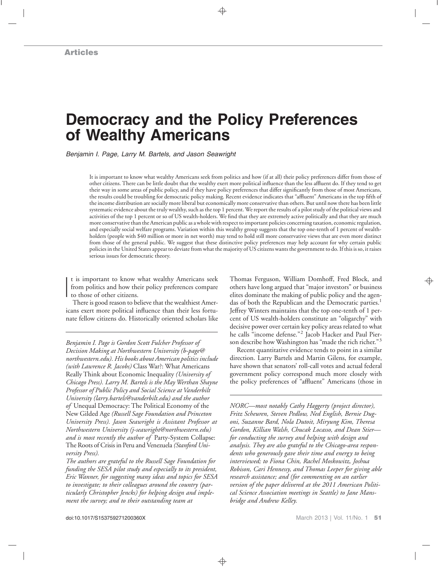# **Democracy and the Policy Preferences of Wealthy Americans**

*Benjamin I. Page, Larry M. Bartels, and Jason Seawright*

It is important to know what wealthy Americans seek from politics and how (if at all) their policy preferences differ from those of other citizens. There can be little doubt that the wealthy exert more political influence than the less affluent do. If they tend to get their way in some areas of public policy, and if they have policy preferences that differ significantly from those of most Americans, the results could be troubling for democratic policy making. Recent evidence indicates that "affluent" Americans in the top fifth of the income distribution are socially more liberal but economically more conservative than others. But until now there has been little systematic evidence about the truly wealthy, such as the top 1 percent.We report the results of a pilot study of the political views and activities of the top 1 percent or so of US wealth-holders. We find that they are extremely active politically and that they are much more conservative than the American public as a whole with respect to important policies concerning taxation, economic regulation, and especially social welfare programs. Variation within this wealthy group suggests that the top one-tenth of 1 percent of wealthholders (people with \$40 million or more in net worth) may tend to hold still more conservative views that are even more distinct from those of the general public. We suggest that these distinctive policy preferences may help account for why certain public policies in the United States appear to deviate from what the majority of US citizens wants the government to do. If this is so, it raises serious issues for democratic theory.

I t is important to know what wealthy Americans seek from politics and how their policy preferences compare to those of other citizens.

There is good reason to believe that the wealthiest Americans exert more political influence than their less fortunate fellow citizens do. Historically oriented scholars like

*Benjamin I. Page is Gordon Scott Fulcher Professor of Decision Making at Northwestern University (b-page@ northwestern.edu). His books about American politics include (with Lawrence R. Jacobs)* Class War?: What Americans Really Think about Economic Inequality *(University of Chicago Press). Larry M. Bartels is the May Werthan Shayne Professor of Public Policy and Social Science at Vanderbilt University (larry.bartels@vanderbilt.edu) and the author of* Unequal Democracy: The Political Economy of the New Gilded Age *(Russell Sage Foundation and Princeton University Press). Jason Seawright is Assistant Professor at Northwestern University (j-seawright@northwestern.edu) and is most recently the author of* Party-System Collapse: The Roots of Crisis in Peru and Venezuela *(Stanford University Press).*

*The authors are grateful to the Russell Sage Foundation for funding the SESA pilot study and especially to its president, Eric Wanner, for suggesting many ideas and topics for SESA to investigate; to their colleagues around the country (particularly Christopher Jencks) for helping design and implement the survey; and to their outstanding team at*

Thomas Ferguson, William Domhoff, Fred Block, and others have long argued that "major investors" or business elites dominate the making of public policy and the agendas of both the Republican and the Democratic parties.<sup>1</sup> Jeffrey Winters maintains that the top one-tenth of 1 percent of US wealth-holders constitute an "oligarchy" with decisive power over certain key policy areas related to what he calls "income defense."<sup>2</sup> Jacob Hacker and Paul Pierson describe how Washington has "made the rich richer."<sup>3</sup>

Recent quantitative evidence tends to point in a similar direction. Larry Bartels and Martin Gilens, for example, have shown that senators' roll-call votes and actual federal government policy correspond much more closely with the policy preferences of "affluent" Americans (those in

*NORC—most notably Cathy Haggerty (project director), Fritz Scheuren, Steven Pedlow, Ned English, Bernie Dugoni, Suzanne Bard, Nola Dutoit, Miryung Kim, Theresa Gordon, Killian Walsh, Chucak Locasso, and Dean Stier for conducting the survey and helping with design and analysis. They are also grateful to the Chicago-area respondents who generously gave their time and energy to being interviewed; to Fiona Chin, Rachel Moskowitz, Joshua Robison, Cari Hennessy, and Thomas Leeper for giving able research assistance; and (for commenting on an earlier version of the paper delivered at the 2011 American Political Science Association meetings in Seattle) to Jane Mansbridge and Andrew Kelley.*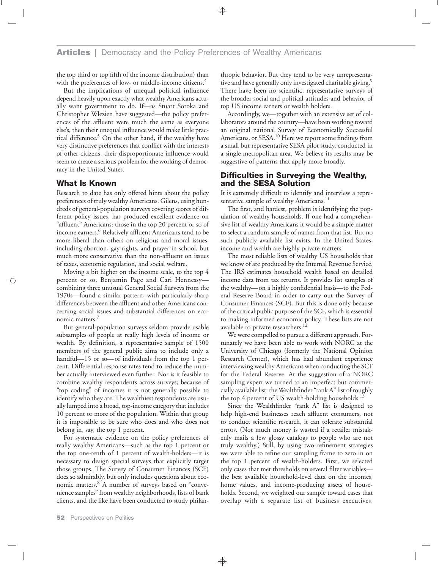the top third or top fifth of the income distribution) than with the preferences of low- or middle-income citizens.<sup>4</sup>

But the implications of unequal political influence depend heavily upon exactly what wealthy Americans actually want government to do. If—as Stuart Soroka and Christopher Wlezien have suggested—the policy preferences of the affluent were much the same as everyone else's, then their unequal influence would make little practical difference.<sup>5</sup> On the other hand, if the wealthy have very distinctive preferences that conflict with the interests of other citizens, their disproportionate influence would seem to create a serious problem for the working of democracy in the United States.

# **What Is Known**

Research to date has only offered hints about the policy preferences of truly wealthy Americans. Gilens, using hundreds of general-population surveys covering scores of different policy issues, has produced excellent evidence on "affluent" Americans: those in the top 20 percent or so of income earners.<sup>6</sup> Relatively affluent Americans tend to be more liberal than others on religious and moral issues, including abortion, gay rights, and prayer in school, but much more conservative than the non-affluent on issues of taxes, economic regulation, and social welfare.

Moving a bit higher on the income scale, to the top 4 percent or so, Benjamin Page and Cari Hennessy combining three unusual General Social Surveys from the 1970s—found a similar pattern, with particularly sharp differences between the affluent and other Americans concerning social issues and substantial differences on economic matters.<sup>7</sup>

But general-population surveys seldom provide usable subsamples of people at really high levels of income or wealth. By definition, a representative sample of 1500 members of the general public aims to include only a handful—15 or so—of individuals from the top 1 percent. Differential response rates tend to reduce the number actually interviewed even further. Nor is it feasible to combine wealthy respondents across surveys; because of "top coding" of incomes it is not generally possible to identify who they are. The wealthiest respondents are usually lumped into a broad, top-income category that includes 10 percent or more of the population. Within that group it is impossible to be sure who does and who does not belong in, say, the top 1 percent.

For systematic evidence on the policy preferences of really wealthy Americans—such as the top 1 percent or the top one-tenth of 1 percent of wealth-holders—it is necessary to design special surveys that explicitly target those groups. The Survey of Consumer Finances (SCF) does so admirably, but only includes questions about economic matters.8 A number of surveys based on "convenience samples" from wealthy neighborhoods, lists of bank clients, and the like have been conducted to study philanthropic behavior. But they tend to be very unrepresentative and have generally only investigated charitable giving.<sup>9</sup> There have been no scientific, representative surveys of the broader social and political attitudes and behavior of top US income earners or wealth holders.

Accordingly, we—together with an extensive set of collaborators around the country—have been working toward an original national Survey of Economically Successful Americans, or SESA.<sup>10</sup> Here we report some findings from a small but representative SESA pilot study, conducted in a single metropolitan area. We believe its results may be suggestive of patterns that apply more broadly.

# **Difficulties in Surveying the Wealthy, and the SESA Solution**

It is extremely difficult to identify and interview a representative sample of wealthy Americans.<sup>11</sup>

The first, and hardest, problem is identifying the population of wealthy households. If one had a comprehensive list of wealthy Americans it would be a simple matter to select a random sample of names from that list. But no such publicly available list exists. In the United States, income and wealth are highly private matters.

The most reliable lists of wealthy US households that we know of are produced by the Internal Revenue Service. The IRS estimates household wealth based on detailed income data from tax returns. It provides list samples of the wealthy—on a highly confidential basis—to the Federal Reserve Board in order to carry out the Survey of Consumer Finances (SCF). But this is done only because of the critical public purpose of the SCF, which is essential to making informed economic policy. These lists are not available to private researchers.<sup>1</sup>

We were compelled to pursue a different approach. Fortunately we have been able to work with NORC at the University of Chicago (formerly the National Opinion Research Center), which has had abundant experience interviewing wealthy Americans when conducting the SCF for the Federal Reserve. At the suggestion of a NORC sampling expert we turned to an imperfect but commercially available list: the Wealthfinder "rank A" list of roughly the top 4 percent of US wealth-holding households.<sup>13</sup>

Since the Wealthfinder "rank A" list is designed to help high-end businesses reach affluent consumers, not to conduct scientific research, it can tolerate substantial errors. (Not much money is wasted if a retailer mistakenly mails a few glossy catalogs to people who are not truly wealthy.) Still, by using two refinement strategies we were able to refine our sampling frame to zero in on the top 1 percent of wealth-holders. First, we selected only cases that met thresholds on several filter variables the best available household-level data on the incomes, home values, and income-producing assets of households. Second, we weighted our sample toward cases that overlap with a separate list of business executives,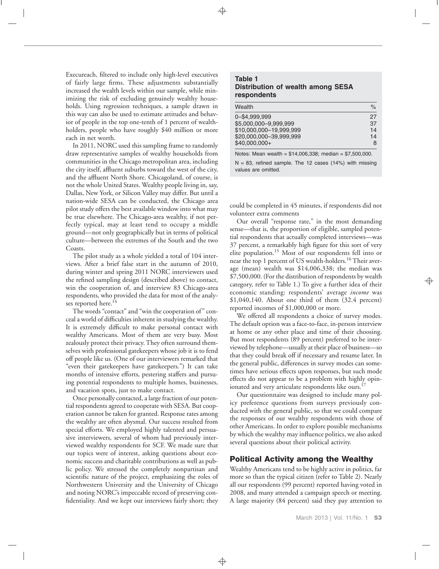Execureach, filtered to include only high-level executives of fairly large firms. These adjustments substantially increased the wealth levels within our sample, while minimizing the risk of excluding genuinely wealthy households. Using regression techniques, a sample drawn in this way can also be used to estimate attitudes and behavior of people in the top one-tenth of 1 percent of wealthholders, people who have roughly \$40 million or more each in net worth.

In 2011, NORC used this sampling frame to randomly draw representative samples of wealthy households from communities in the Chicago metropolitan area, including the city itself, affluent suburbs toward the west of the city, and the affluent North Shore. Chicagoland, of course, is not the whole United States. Wealthy people living in, say, Dallas, New York, or Silicon Valley may differ. But until a nation-wide SESA can be conducted, the Chicago area pilot study offers the best available window into what may be true elsewhere. The Chicago-area wealthy, if not perfectly typical, may at least tend to occupy a middle ground—not only geographically but in terms of political culture—between the extremes of the South and the two Coasts.

The pilot study as a whole yielded a total of 104 interviews. After a brief false start in the autumn of 2010, during winter and spring 2011 NORC interviewers used the refined sampling design (described above) to contact, win the cooperation of, and interview 83 Chicago-area respondents, who provided the data for most of the analyses reported here.<sup>14</sup>

The words "contact" and "win the cooperation of" conceal a world of difficulties inherent in studying the wealthy. It is extremely difficult to make personal contact with wealthy Americans. Most of them are very busy. Most zealously protect their privacy. They often surround themselves with professional gatekeepers whose job it is to fend off people like us. (One of our interviewers remarked that "even their gatekeepers have gatekeepers.") It can take months of intensive efforts, pestering staffers and pursuing potential respondents to multiple homes, businesses, and vacation spots, just to make contact.

Once personally contacted, a large fraction of our potential respondents agreed to cooperate with SESA. But cooperation cannot be taken for granted. Response rates among the wealthy are often abysmal. Our success resulted from special efforts. We employed highly talented and persuasive interviewers, several of whom had previously interviewed wealthy respondents for SCF. We made sure that our topics were of interest, asking questions about economic success and charitable contributions as well as public policy. We stressed the completely nonpartisan and scientific nature of the project, emphasizing the roles of Northwestern University and the University of Chicago and noting NORC's impeccable record of preserving confidentiality. And we kept our interviews fairly short; they

#### **Table 1 Distribution of wealth among SESA respondents**

| Wealth                  | $\%$ |
|-------------------------|------|
| 0-\$4.999.999           | 27   |
| \$5,000,000-9,999,999   | 37   |
| \$10,000,000-19,999,999 | 14   |
| \$20,000,000-39,999,999 | 14   |
| $$40,000,000+$          | 8    |

Notes: Mean wealth = \$14,006,338; median = \$7,500,000.

 $N = 83$ , refined sample. The 12 cases (14%) with missing values are omitted.

could be completed in 45 minutes, if respondents did not volunteer extra comments

Our overall "response rate," in the most demanding sense—that is, the proportion of eligible, sampled potential respondents that actually completed interviews—was 37 percent, a remarkably high figure for this sort of very elite population.15 Most of our respondents fell into or near the top 1 percent of US wealth-holders.<sup>16</sup> Their average (mean) wealth was \$14,006,338; the median was \$7,500,000. (For the distribution of respondents by wealth category, refer to Table 1.) To give a further idea of their economic standing: respondents' average *income* was  $$1,040,140$ . About one third of them  $(32.4 \text{ percent})$ reported incomes of \$1,000,000 or more.

We offered all respondents a choice of survey modes. The default option was a face-to-face, in-person interview at home or any other place and time of their choosing. But most respondents (89 percent) preferred to be interviewed by telephone—usually at their place of business—so that they could break off if necessary and resume later. In the general public, differences in survey modes can sometimes have serious effects upon responses, but such mode effects do not appear to be a problem with highly opinionated and very articulate respondents like ours.<sup>17</sup>

Our questionnaire was designed to include many policy preference questions from surveys previously conducted with the general public, so that we could compare the responses of our wealthy respondents with those of other Americans. In order to explore possible mechanisms by which the wealthy may influence politics, we also asked several questions about their political activity.

# **Political Activity among the Wealthy**

Wealthy Americans tend to be highly active in politics, far more so than the typical citizen (refer to Table 2). Nearly all our respondents (99 percent) reported having voted in 2008, and many attended a campaign speech or meeting. A large majority (84 percent) said they pay attention to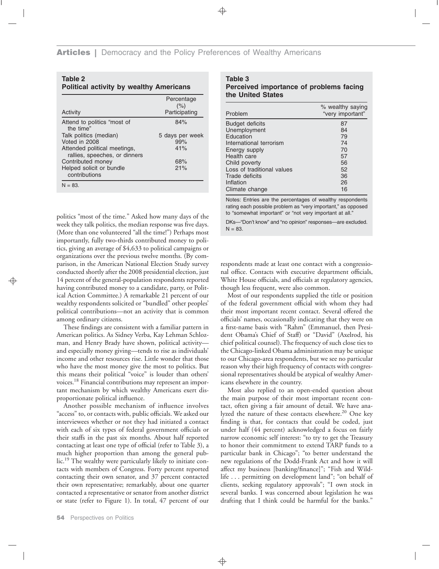| Activity                                                      | Percentage<br>(% )<br>Participating |  |
|---------------------------------------------------------------|-------------------------------------|--|
| Attend to politics "most of<br>the time"                      | 84%                                 |  |
| Talk politics (median)                                        | 5 days per week                     |  |
| Voted in 2008                                                 | 99%                                 |  |
| Attended political meetings,<br>rallies, speeches, or dinners | 41%                                 |  |
| Contributed money                                             | 68%                                 |  |
| Helped solicit or bundle<br>contributions                     | 21%                                 |  |

**Table 2**

politics "most of the time." Asked how many days of the week they talk politics, the median response was five days. (More than one volunteered "all the time!") Perhaps most importantly, fully two-thirds contributed money to politics, giving an average of \$4,633 to political campaigns or organizations over the previous twelve months. (By comparison, in the American National Election Study survey conducted shortly after the 2008 presidential election, just 14 percent of the general-population respondents reported having contributed money to a candidate, party, or Political Action Committee.) A remarkable 21 percent of our wealthy respondents solicited or "bundled" other peoples' political contributions—not an activity that is common among ordinary citizens.

These findings are consistent with a familiar pattern in American politics. As Sidney Verba, Kay Lehman Schlozman, and Henry Brady have shown, political activity and especially money giving—tends to rise as individuals' income and other resources rise. Little wonder that those who have the most money give the most to politics. But this means their political "voice" is louder than others' voices.18 Financial contributions may represent an important mechanism by which wealthy Americans exert disproportionate political influence.

Another possible mechanism of influence involves "access" to, or contacts with, public officials. We asked our interviewees whether or not they had initiated a contact with each of six types of federal government officials or their staffs in the past six months. About half reported contacting at least one type of official (refer to Table 3), a much higher proportion than among the general public.<sup>19</sup> The wealthy were particularly likely to initiate contacts with members of Congress. Forty percent reported contacting their own senator, and 37 percent contacted their own representative; remarkably, about one quarter contacted a representative or senator from another district or state (refer to Figure 1). In total, 47 percent of our

of the federal government official with whom they had their most important recent contact. Several offered the officials' names, occasionally indicating that they were on a first-name basis with "Rahm" (Emmanuel, then President Obama's Chief of Staff) or "David" (Axelrod, his chief political counsel). The frequency of such close ties to

though less frequent, were also common.

the Chicago-linked Obama administration may be unique to our Chicago-area respondents, but we see no particular reason why their high frequency of contacts with congressional representatives should be atypical of wealthy Americans elsewhere in the country.

Most also replied to an open-ended question about the main purpose of their most important recent contact, often giving a fair amount of detail. We have analyzed the nature of these contacts elsewhere.<sup>20</sup> One key finding is that, for contacts that could be coded, just under half (44 percent) acknowledged a focus on fairly narrow economic self interest: "to try to get the Treasury to honor their commitment to extend TARP funds to a particular bank in Chicago"; "to better understand the new regulations of the Dodd-Frank Act and how it will affect my business [banking/finance]"; "Fish and Wildlife . . . permitting on development land"; "on behalf of clients, seeking regulatory approvals"; "I own stock in several banks. I was concerned about legislation he was drafting that I think could be harmful for the banks."

#### **Table 3 Perceived importance of problems facing the United States**

| Problem                    | % wealthy saying<br>"very important" |
|----------------------------|--------------------------------------|
| <b>Budget deficits</b>     | 87                                   |
| Unemployment               | 84                                   |
| Education                  | 79                                   |
| International terrorism    | 74                                   |
| Energy supply              | 70                                   |
| Health care                | 57                                   |
| Child poverty              | 56                                   |
| Loss of traditional values | 52                                   |
| Trade deficits             | 36                                   |
| Inflation                  | 26                                   |
| Climate change             | 16                                   |

Notes: Entries are the percentages of wealthy respondents rating each possible problem as "very important," as opposed to "somewhat important" or "not very important at all."

DKs—"Don't know" and "no opinion" responses—are excluded.  $N = 83$ .

respondents made at least one contact with a congressional office. Contacts with executive department officials, White House officials, and officials at regulatory agencies,

Most of our respondents supplied the title or position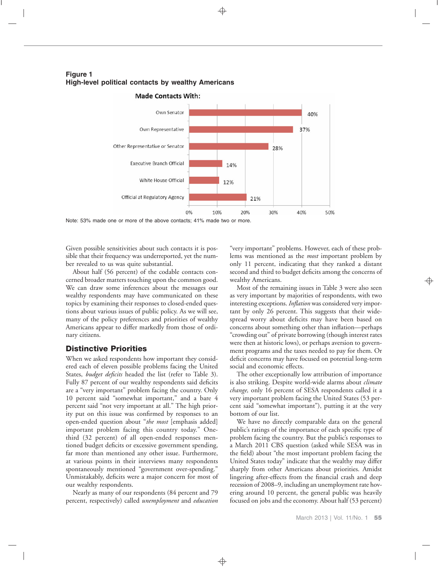# **Figure 1 High-level political contacts by wealthy Americans**



**Made Contacts With:** 

Note: 53% made one or more of the above contacts; 41% made two or more.

Given possible sensitivities about such contacts it is possible that their frequency was underreported, yet the number revealed to us was quite substantial.

About half (56 percent) of the codable contacts concerned broader matters touching upon the common good. We can draw some inferences about the messages our wealthy respondents may have communicated on these topics by examining their responses to closed-ended questions about various issues of public policy. As we will see, many of the policy preferences and priorities of wealthy Americans appear to differ markedly from those of ordinary citizens.

# **Distinctive Priorities**

When we asked respondents how important they considered each of eleven possible problems facing the United States, *budget deficits* headed the list (refer to Table 3). Fully 87 percent of our wealthy respondents said deficits are a "very important" problem facing the country. Only 10 percent said "somewhat important," and a bare 4 percent said "not very important at all." The high priority put on this issue was confirmed by responses to an open-ended question about "*the most* [emphasis added] important problem facing this country today." Onethird (32 percent) of all open-ended responses mentioned budget deficits or excessive government spending, far more than mentioned any other issue. Furthermore, at various points in their interviews many respondents spontaneously mentioned "government over-spending." Unmistakably, deficits were a major concern for most of our wealthy respondents.

Nearly as many of our respondents (84 percent and 79 percent, respectively) called *unemployment* and *education*

"very important" problems. However, each of these problems was mentioned as the *most* important problem by only 11 percent, indicating that they ranked a distant second and third to budget deficits among the concerns of wealthy Americans.

Most of the remaining issues in Table 3 were also seen as very important by majorities of respondents, with two interesting exceptions. *Inflation* was considered very important by only 26 percent. This suggests that their widespread worry about deficits may have been based on concerns about something other than inflation—perhaps "crowding out" of private borrowing (though interest rates were then at historic lows), or perhaps aversion to government programs and the taxes needed to pay for them. Or deficit concerns may have focused on potential long-term social and economic effects.

The other exceptionally low attribution of importance is also striking. Despite world-wide alarms about *climate change,* only 16 percent of SESA respondents called it a very important problem facing the United States (53 percent said "somewhat important"), putting it at the very bottom of our list.

We have no directly comparable data on the general public's ratings of the importance of each specific type of problem facing the country. But the public's responses to a March 2011 CBS question (asked while SESA was in the field) about "the most important problem facing the United States today" indicate that the wealthy may differ sharply from other Americans about priorities. Amidst lingering after-effects from the financial crash and deep recession of 2008–9, including an unemployment rate hovering around 10 percent, the general public was heavily focused on jobs and the economy. About half (53 percent)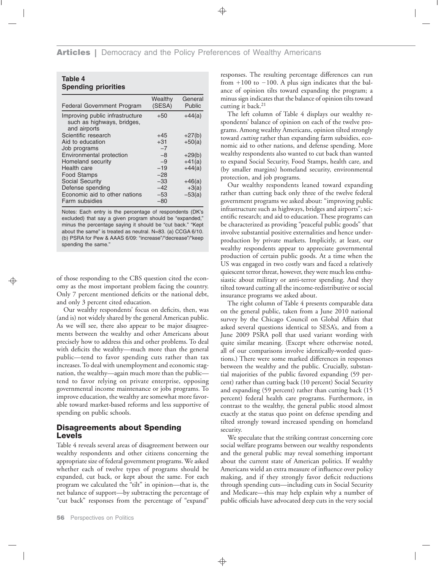| Table 4                    |  |
|----------------------------|--|
| <b>Spending priorities</b> |  |

| <b>Federal Government Program</b>                                             | Wealthy<br>(SESA) | General<br>Public |
|-------------------------------------------------------------------------------|-------------------|-------------------|
| Improving public infrastructure<br>such as highways, bridges,<br>and airports | $+50$             | $+44(a)$          |
| Scientific research                                                           | +45               | $+27(b)$          |
| Aid to education                                                              | $+31$             | $+50(a)$          |
| Job programs                                                                  | $-7$              |                   |
| Environmental protection                                                      | $-8$              | $+29(b)$          |
| Homeland security                                                             | $-9$              | $+41(a)$          |
| Health care                                                                   | $-19$             | $+44(a)$          |
| <b>Food Stamps</b>                                                            | $-28$             |                   |
| <b>Social Security</b>                                                        | $-33$             | $+46(a)$          |
| Defense spending                                                              | -42               | $+3(a)$           |
| Economic aid to other nations<br>Farm subsidies                               | $-53$<br>-80      | $-53(a)$          |

Notes: Each entry is the percentage of respondents (DK's excluded) that say a given program should be "expanded," minus the percentage saying it should be "cut back." "Kept about the same" is treated as neutral. N=83. (a) CCGA 6/10. (b) PSRA for Pew & AAAS 6/09: "increase"/"decrease"/"keep spending the same."

of those responding to the CBS question cited the economy as the most important problem facing the country. Only 7 percent mentioned deficits or the national debt, and only 3 percent cited education.

Our wealthy respondents' focus on deficits, then, was (and is) not widely shared by the general American public. As we will see, there also appear to be major disagreements between the wealthy and other Americans about precisely how to address this and other problems. To deal with deficits the wealthy—much more than the general public—tend to favor spending cuts rather than tax increases. To deal with unemployment and economic stagnation, the wealthy—again much more than the public tend to favor relying on private enterprise, opposing governmental income maintenance or jobs programs. To improve education, the wealthy are somewhat more favorable toward market-based reforms and less supportive of spending on public schools.

# **Disagreements about Spending Levels**

Table 4 reveals several areas of disagreement between our wealthy respondents and other citizens concerning the appropriate size of federal government programs. We asked whether each of twelve types of programs should be expanded, cut back, or kept about the same. For each program we calculated the "tilt" in opinion—that is, the net balance of support—by subtracting the percentage of "cut back" responses from the percentage of "expand"

**56** Perspectives on Politics

responses. The resulting percentage differences can run from  $+100$  to  $-100.$  A plus sign indicates that the balance of opinion tilts toward expanding the program; a minus sign indicates that the balance of opinion tilts toward cutting it back.<sup>21</sup>

The left column of Table 4 displays our wealthy respondents' balance of opinion on each of the twelve programs. Among wealthy Americans, opinion tilted strongly toward *cutting* rather than expanding farm subsidies, economic aid to other nations, and defense spending. More wealthy respondents also wanted to cut back than wanted to expand Social Security, Food Stamps, health care, and (by smaller margins) homeland security, environmental protection, and job programs.

Our wealthy respondents leaned toward expanding rather than cutting back only three of the twelve federal government programs we asked about: "improving public infrastructure such as highways, bridges and airports"; scientific research; and aid to education. These programs can be characterized as providing "peaceful public goods" that involve substantial positive externalities and hence underproduction by private markets. Implicitly, at least, our wealthy respondents appear to appreciate governmental production of certain public goods. At a time when the US was engaged in two costly wars and faced a relatively quiescent terror threat, however, they were much less enthusiastic about military or anti-terror spending. And they tilted toward cutting all the income-redistributive or social insurance programs we asked about.

The right column of Table 4 presents comparable data on the general public, taken from a June 2010 national survey by the Chicago Council on Global Affairs that asked several questions identical to SESA's, and from a June 2009 PSRA poll that used variant wording with quite similar meaning. (Except where otherwise noted, all of our comparisons involve identically-worded questions.) There were some marked differences in responses between the wealthy and the public. Crucially, substantial majorities of the public favored expanding (59 percent) rather than cutting back (10 percent) Social Security and expanding (59 percent) rather than cutting back (15 percent) federal health care programs. Furthermore, in contrast to the wealthy, the general public stood almost exactly at the status quo point on defense spending and tilted strongly toward increased spending on homeland security.

We speculate that the striking contrast concerning core social welfare programs between our wealthy respondents and the general public may reveal something important about the current state of American politics. If wealthy Americans wield an extra measure of influence over policy making, and if they strongly favor deficit reductions through spending cuts—including cuts in Social Security and Medicare—this may help explain why a number of public officials have advocated deep cuts in the very social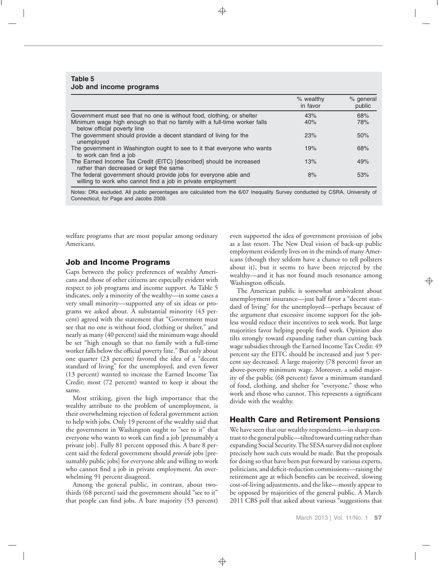#### **Table 5 Job and income programs**

|                                                                                                                                 | % wealthy<br>in favor | % general<br>public |
|---------------------------------------------------------------------------------------------------------------------------------|-----------------------|---------------------|
| Government must see that no one is without food, clothing, or shelter                                                           | 43%                   | 68%                 |
| Minimum wage high enough so that no family with a full-time worker falls<br>below official poverty line                         | 40%                   | 78%                 |
| The government should provide a decent standard of living for the<br>unemployed                                                 | 23%                   | 50%                 |
| The government in Washington ought to see to it that everyone who wants<br>to work can find a job                               | 19%                   | 68%                 |
| The Earned Income Tax Credit (EITC) [described] should be increased<br>rather than decreased or kept the same                   | 13%                   | 49%                 |
| The federal government should provide jobs for everyone able and<br>willing to work who cannot find a job in private employment | 8%                    | 53%                 |

Notes: DKs excluded. All public percentages are calculated from the 6/07 Inequality Survey conducted by CSRA, University of Connecticut, for Page and Jacobs 2009.

welfare programs that are most popular among ordinary Americans.

# **Job and Income Programs**

Gaps between the policy preferences of wealthy Americans and those of other citizens are especially evident with respect to job programs and income support. As Table 5 indicates, only a minority of the wealthy—in some cases a very small minority—supported any of six ideas or programs we asked about. A substantial minority (43 percent) agreed with the statement that "Government must see that no one is without food, clothing or shelter," and nearly as many (40 percent) said the minimum wage should be set "high enough so that no family with a full-time worker falls below the official poverty line." But only about one quarter (23 percent) favored the idea of a "decent standard of living" for the unemployed, and even fewer (13 percent) wanted to increase the Earned Income Tax Credit; most (72 percent) wanted to keep it about the same.

Most striking, given the high importance that the wealthy attribute to the problem of unemployment, is their overwhelming rejection of federal government action to help with jobs. Only 19 percent of the wealthy said that the government in Washington ought to "see to it" that everyone who wants to work can find a job [presumably a private job]. Fully 81 percent opposed this. A bare 8 percent said the federal government should *provide* jobs [presumably public jobs] for everyone able and willing to work who cannot find a job in private employment. An overwhelming 91 percent disagreed.

Among the general public, in contrast, about twothirds (68 percent) said the government should "see to it" that people can find jobs. A bare majority (53 percent) even supported the idea of government provision of jobs as a last resort. The New Deal vision of back-up public employment evidently lives on in the minds of many Americans (though they seldom have a chance to tell pollsters about it), but it seems to have been rejected by the wealthy—and it has not found much resonance among Washington officials.

The American public is somewhat ambivalent about unemployment insurance—just half favor a "decent standard of living" for the unemployed—perhaps because of the argument that excessive income support for the jobless would reduce their incentives to seek work. But large majorities favor helping people find work. Opinion also tilts strongly toward expanding rather than cutting back wage subsidies through the Earned Income Tax Credit: 49 percent say the EITC should be increased and just 5 percent say decreased. A large majority (78 percent) favor an above-poverty minimum wage. Moreover, a solid majority of the public (68 percent) favor a minimum standard of food, clothing, and shelter for "everyone," those who work and those who cannot. This represents a significant divide with the wealthy.

# **Health Care and Retirement Pensions**

We have seen that our wealthy respondents—in sharp contrast to the general public—tilted toward cutting rather than expanding Social Security.The SESA survey did not explore precisely how such cuts would be made. But the proposals for doing so that have been put forward by various experts, politicians, and deficit-reduction commissions—raising the retirement age at which benefits can be received, slowing cost-of-living adjustments, and the like—mostly appear to be opposed by majorities of the general public. A March 2011 CBS poll that asked about various "suggestions that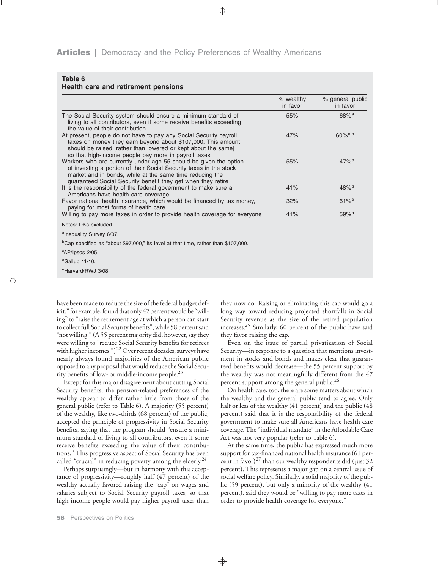#### **Table 6 Health care and retirement pensions**

|                                                                                                                                                                                                                                                                     | % wealthy<br>in favor | % general public<br>in favor |
|---------------------------------------------------------------------------------------------------------------------------------------------------------------------------------------------------------------------------------------------------------------------|-----------------------|------------------------------|
| The Social Security system should ensure a minimum standard of<br>living to all contributors, even if some receive benefits exceeding<br>the value of their contribution                                                                                            | 55%                   | $68\%$ <sup>a</sup>          |
| At present, people do not have to pay any Social Security payroll<br>taxes on money they earn beyond about \$107,000. This amount<br>should be raised [rather than lowered or kept about the same]<br>so that high-income people pay more in payroll taxes          | 47%                   | $60\%$ <sup>a,b</sup>        |
| Workers who are currently under age 55 should be given the option<br>of investing a portion of their Social Security taxes in the stock<br>market and in bonds, while at the same time reducing the<br>guaranteed Social Security benefit they get when they retire | 55%                   | $47\%$ <sup>c</sup>          |
| It is the responsibility of the federal government to make sure all<br>Americans have health care coverage                                                                                                                                                          | 41%                   | $48%$ <sup>d</sup>           |
| Favor national health insurance, which would be financed by tax money,<br>paying for most forms of health care                                                                                                                                                      | 32%                   | $61%$ <sup>e</sup>           |
| Willing to pay more taxes in order to provide health coverage for everyone                                                                                                                                                                                          | 41%                   | $59%$ <sup>a</sup>           |
| Notes: DKs excluded.                                                                                                                                                                                                                                                |                       |                              |
| <sup>a</sup> Inequality Survey 6/07.                                                                                                                                                                                                                                |                       |                              |

 $b$ Cap specified as "about \$97,000," its level at that time, rather than \$107,000.

c AP/Ipsos 2/05.

<sup>d</sup>Gallup 11/10.

eHarvard/RWJ 3/08.

have been made to reduce the size of the federal budget deficit," for example, found that only 42 percent would be "willing" to "raise the retirement age at which a person can start to collect full Social Security benefits", while 58 percent said "not willing." (A 55 percent majority did, however, say they were willing to "reduce Social Security benefits for retirees with higher incomes.")<sup>22</sup> Over recent decades, surveys have nearly always found majorities of the American public opposed to any proposal that would reduce the Social Security benefits of low- or middle-income people.23

Except for this major disagreement about cutting Social Security benefits, the pension-related preferences of the wealthy appear to differ rather little from those of the general public (refer to Table 6). A majority (55 percent) of the wealthy, like two-thirds (68 percent) of the public, accepted the principle of progressivity in Social Security benefits, saying that the program should "ensure a minimum standard of living to all contributors, even if some receive benefits exceeding the value of their contributions." This progressive aspect of Social Security has been called "crucial" in reducing poverty among the elderly.<sup>24</sup>

Perhaps surprisingly—but in harmony with this acceptance of progressivity—roughly half (47 percent) of the wealthy actually favored raising the "cap" on wages and salaries subject to Social Security payroll taxes, so that high-income people would pay higher payroll taxes than

**58** Perspectives on Politics

they now do. Raising or eliminating this cap would go a long way toward reducing projected shortfalls in Social Security revenue as the size of the retired population increases.25 Similarly, 60 percent of the public have said they favor raising the cap.

Even on the issue of partial privatization of Social Security—in response to a question that mentions investment in stocks and bonds and makes clear that guaranteed benefits would decrease—the 55 percent support by the wealthy was not meaningfully different from the 47 percent support among the general public.<sup>26</sup>

On health care, too, there are some matters about which the wealthy and the general public tend to agree. Only half or less of the wealthy (41 percent) and the public (48 percent) said that it is the responsibility of the federal government to make sure all Americans have health care coverage. The "individual mandate" in the Affordable Care Act was not very popular (refer to Table 6).

At the same time, the public has expressed much more support for tax-financed national health insurance (61 percent in favor)<sup>27</sup> than our wealthy respondents did (just 32 percent). This represents a major gap on a central issue of social welfare policy. Similarly, a solid majority of the public (59 percent), but only a minority of the wealthy (41 percent), said they would be "willing to pay more taxes in order to provide health coverage for everyone."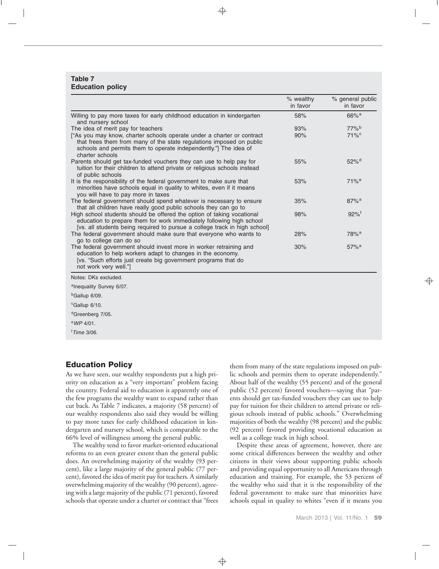#### **Table 7 Education policy**

|                                                                                                                                                                                                                                       | % wealthy<br>in favor | % general public<br>in favor |
|---------------------------------------------------------------------------------------------------------------------------------------------------------------------------------------------------------------------------------------|-----------------------|------------------------------|
| Willing to pay more taxes for early childhood education in kindergarten<br>and nursery school                                                                                                                                         | 58%                   | $66\%$ <sup>a</sup>          |
| The idea of merit pay for teachers                                                                                                                                                                                                    | 93%                   | 77%b                         |
| ["As you may know, charter schools operate under a charter or contract<br>that frees them from many of the state regulations imposed on public<br>schools and permits them to operate independently."] The idea of<br>charter schools | 90%                   | $71\%$ <sup>c</sup>          |
| Parents should get tax-funded vouchers they can use to help pay for<br>tuition for their children to attend private or religious schools instead<br>of public schools                                                                 | 55%                   | $52\%$ <sup>d</sup>          |
| It is the responsibility of the federal government to make sure that<br>minorities have schools equal in quality to whites, even if it means<br>you will have to pay more in taxes                                                    | 53%                   | $71%$ <sup>e</sup>           |
| The federal government should spend whatever is necessary to ensure<br>that all children have really good public schools they can go to                                                                                               | 35%                   | $87%$ <sup>a</sup>           |
| High school students should be offered the option of taking vocational<br>education to prepare them for work immediately following high school<br>[vs. all students being required to pursue a college track in high school]          | 98%                   | $92%$ <sup>f</sup>           |
| The federal government should make sure that everyone who wants to<br>go to college can do so                                                                                                                                         | 28%                   | $78%$ <sup>a</sup>           |
| The federal government should invest more in worker retraining and<br>education to help workers adapt to changes in the economy.<br>[vs. "Such efforts just create big government programs that do<br>not work very well."]           | 30%                   | $57%$ <sup>a</sup>           |
| Notes: DKs excluded.                                                                                                                                                                                                                  |                       |                              |
| <sup>a</sup> Inequality Survey 6/07.                                                                                                                                                                                                  |                       |                              |
| <sup>b</sup> Gallup 6/09.                                                                                                                                                                                                             |                       |                              |
| <sup>c</sup> Gallup 6/10.                                                                                                                                                                                                             |                       |                              |
| <sup>d</sup> Greenberg 7/05.                                                                                                                                                                                                          |                       |                              |
| $e$ WP 4/01.                                                                                                                                                                                                                          |                       |                              |
| $† Time 3/06.$                                                                                                                                                                                                                        |                       |                              |

# **Education Policy**

As we have seen, our wealthy respondents put a high priority on education as a "very important" problem facing the country. Federal aid to education is apparently one of the few programs the wealthy want to expand rather than cut back. As Table 7 indicates, a majority (58 percent) of our wealthy respondents also said they would be willing to pay more taxes for early childhood education in kindergarten and nursery school, which is comparable to the 66% level of willingness among the general public.

The wealthy tend to favor market-oriented educational reforms to an even greater extent than the general public does. An overwhelming majority of the wealthy (93 percent), like a large majority of the general public (77 percent), favored the idea of merit pay for teachers. A similarly overwhelming majority of the wealthy (90 percent), agreeing with a large majority of the public (71 percent), favored schools that operate under a charter or contract that "frees them from many of the state regulations imposed on public schools and permits them to operate independently." About half of the wealthy (55 percent) and of the general public (52 percent) favored vouchers—saying that "parents should get tax-funded vouchers they can use to help pay for tuition for their children to attend private or religious schools instead of public schools." Overwhelming majorities of both the wealthy (98 percent) and the public (92 percent) favored providing vocational education as well as a college track in high school.

Despite these areas of agreement, however, there are some critical differences between the wealthy and other citizens in their views about supporting public schools and providing equal opportunity to all Americans through education and training. For example, the 53 percent of the wealthy who said that it is the responsibility of the federal government to make sure that minorities have schools equal in quality to whites "even if it means you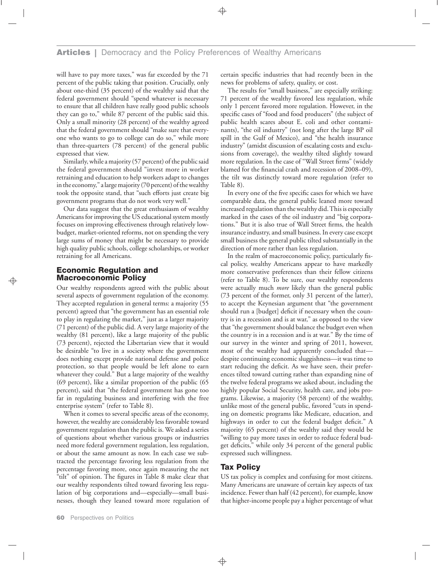will have to pay more taxes," was far exceeded by the 71 percent of the public taking that position. Crucially, only about one-third (35 percent) of the wealthy said that the federal government should "spend whatever is necessary to ensure that all children have really good public schools they can go to," while 87 percent of the public said this. Only a small minority (28 percent) of the wealthy agreed that the federal government should "make sure that everyone who wants to go to college can do so," while more than three-quarters (78 percent) of the general public expressed that view.

Similarly, while a majority (57 percent) of the public said the federal government should "invest more in worker retraining and education to help workers adapt to changes in the economy," a large majority (70 percent) of the wealthy took the opposite stand, that "such efforts just create big government programs that do not work very well."

Our data suggest that the great enthusiasm of wealthy Americans for improving the US educational system mostly focuses on improving effectiveness through relatively lowbudget, market-oriented reforms, not on spending the very large sums of money that might be necessary to provide high quality public schools, college scholarships, or worker retraining for all Americans.

# **Economic Regulation and Macroeconomic Policy**

Our wealthy respondents agreed with the public about several aspects of government regulation of the economy. They accepted regulation in general terms: a majority (55 percent) agreed that "the government has an essential role to play in regulating the market," just as a larger majority (71 percent) of the public did. A very large majority of the wealthy (81 percent), like a large majority of the public (73 percent), rejected the Libertarian view that it would be desirable "to live in a society where the government does nothing except provide national defense and police protection, so that people would be left alone to earn whatever they could." But a large majority of the wealthy (69 percent), like a similar proportion of the public (65 percent), said that "the federal government has gone too far in regulating business and interfering with the free enterprise system" (refer to Table 8).

When it comes to several specific areas of the economy, however, the wealthy are considerably less favorable toward government regulation than the public is. We asked a series of questions about whether various groups or industries need more federal government regulation, less regulation, or about the same amount as now. In each case we subtracted the percentage favoring less regulation from the percentage favoring more, once again measuring the net "tilt" of opinion. The figures in Table 8 make clear that our wealthy respondents tilted toward favoring less regulation of big corporations and—especially—small businesses, though they leaned toward more regulation of certain specific industries that had recently been in the news for problems of safety, quality, or cost.

The results for "small business," are especially striking: 71 percent of the wealthy favored less regulation, while only 1 percent favored more regulation. However, in the specific cases of "food and food producers" (the subject of public health scares about E. coli and other contaminants), "the oil industry" (not long after the large BP oil spill in the Gulf of Mexico), and "the health insurance industry" (amidst discussion of escalating costs and exclusions from coverage), the wealthy tilted slightly toward more regulation. In the case of "Wall Street firms" (widely blamed for the financial crash and recession of 2008–09), the tilt was distinctly toward more regulation (refer to Table 8).

In every one of the five specific cases for which we have comparable data, the general public leaned more toward increased regulation than the wealthy did.This is especially marked in the cases of the oil industry and "big corporations." But it is also true of Wall Street firms, the health insurance industry, and small business. In every case except small business the general public tilted substantially in the direction of more rather than less regulation.

In the realm of macroeconomic policy, particularly fiscal policy, wealthy Americans appear to have markedly more conservative preferences than their fellow citizens (refer to Table 8). To be sure, our wealthy respondents were actually much *more* likely than the general public (73 percent of the former, only 31 percent of the latter), to accept the Keynesian argument that "the government should run a [budget] deficit if necessary when the country is in a recession and is at war," as opposed to the view that "the government should balance the budget even when the country is in a recession and is at war." By the time of our survey in the winter and spring of 2011, however, most of the wealthy had apparently concluded that despite continuing economic sluggishness—it was time to start reducing the deficit. As we have seen, their preferences tilted toward cutting rather than expanding nine of the twelve federal programs we asked about, including the highly popular Social Security, health care, and jobs programs. Likewise, a majority (58 percent) of the wealthy, unlike most of the general public, favored "cuts in spending on domestic programs like Medicare, education, and highways in order to cut the federal budget deficit." A majority (65 percent) of the wealthy said they would be "willing to pay more taxes in order to reduce federal budget deficits," while only 34 percent of the general public expressed such willingness.

# **Tax Policy**

US tax policy is complex and confusing for most citizens. Many Americans are unaware of certain key aspects of tax incidence. Fewer than half (42 percent), for example, know that higher-income people pay a higher percentage of what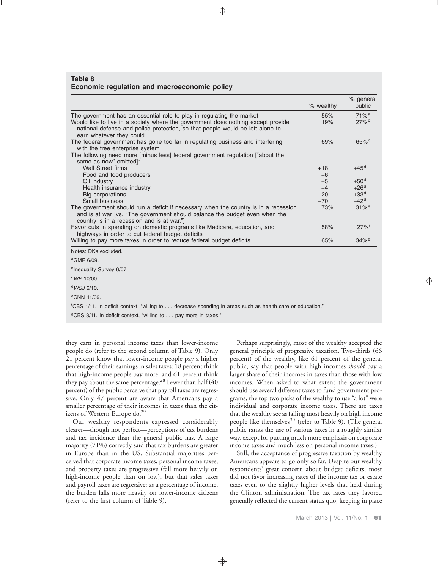#### **Table 8**

#### **Economic regulation and macroeconomic policy**

|                                                                                                                                                                                                                                                                        | % wealthy      | % general<br>public                      |
|------------------------------------------------------------------------------------------------------------------------------------------------------------------------------------------------------------------------------------------------------------------------|----------------|------------------------------------------|
| The government has an essential role to play in regulating the market<br>Would like to live in a society where the government does nothing except provide<br>national defense and police protection, so that people would be left alone to<br>earn whatever they could | 55%<br>19%     | $71%$ <sup>a</sup><br>$27%$ <sup>b</sup> |
| The federal government has gone too far in regulating business and interfering<br>with the free enterprise system                                                                                                                                                      | 69%            | $65\%$ <sup>c</sup>                      |
| The following need more [minus less] federal government regulation ["about the<br>same as now" omitted]:                                                                                                                                                               |                |                                          |
| <b>Wall Street firms</b><br>Food and food producers                                                                                                                                                                                                                    | $+18$<br>$+6$  | $+45d$                                   |
| Oil industry<br>Health insurance industry                                                                                                                                                                                                                              | $+5$<br>$+4$   | $+50d$<br>$+26d$                         |
| Big corporations<br>Small business                                                                                                                                                                                                                                     | $-20$<br>$-70$ | $+33d$<br>$-42d$                         |
| The government should run a deficit if necessary when the country is in a recession<br>and is at war [vs. "The government should balance the budget even when the<br>country is in a recession and is at war."]                                                        | 73%            | $31%$ <sup>e</sup>                       |
| Favor cuts in spending on domestic programs like Medicare, education, and<br>highways in order to cut federal budget deficits                                                                                                                                          | 58%            | $27%$ <sup>f</sup>                       |
| Willing to pay more taxes in order to reduce federal budget deficits                                                                                                                                                                                                   | 65%            | $34\%$ <sup>g</sup>                      |
| Notes: DKs excluded.                                                                                                                                                                                                                                                   |                |                                          |
| <sup>a</sup> GMF 6/09.                                                                                                                                                                                                                                                 |                |                                          |
| <sup>b</sup> Inequality Survey 6/07.                                                                                                                                                                                                                                   |                |                                          |
| $^{\circ}$ WP 10/00.                                                                                                                                                                                                                                                   |                |                                          |
| $d$ WSJ 6/10.                                                                                                                                                                                                                                                          |                |                                          |
| <sup>e</sup> CNN 11/09.                                                                                                                                                                                                                                                |                |                                          |
| "CBS 1/11. In deficit context, "willing to  decrease spending in areas such as health care or education."                                                                                                                                                              |                |                                          |
| <sup>9</sup> CBS 3/11. In deficit context, "willing to pay more in taxes."                                                                                                                                                                                             |                |                                          |

they earn in personal income taxes than lower-income people do (refer to the second column of Table 9). Only 21 percent know that lower-income people pay a higher percentage of their earnings in sales taxes: 18 percent think that high-income people pay more, and 61 percent think they pay about the same percentage.<sup>28</sup> Fewer than half (40 percent) of the public perceive that payroll taxes are regressive. Only 47 percent are aware that Americans pay a smaller percentage of their incomes in taxes than the citizens of Western Europe do.<sup>29</sup>

Our wealthy respondents expressed considerably clearer—though not perfect—perceptions of tax burdens and tax incidence than the general public has. A large majority (71%) correctly said that tax burdens are greater in Europe than in the US. Substantial majorities perceived that corporate income taxes, personal income taxes, and property taxes are progressive (fall more heavily on high-income people than on low), but that sales taxes and payroll taxes are regressive: as a percentage of income, the burden falls more heavily on lower-income citizens (refer to the first column of Table 9).

Perhaps surprisingly, most of the wealthy accepted the general principle of progressive taxation. Two-thirds (66 percent) of the wealthy, like 61 percent of the general public, say that people with high incomes *should* pay a larger share of their incomes in taxes than those with low incomes. When asked to what extent the government should use several different taxes to fund government programs, the top two picks of the wealthy to use "a lot" were individual and corporate income taxes. These are taxes that the wealthy see as falling most heavily on high income people like themselves<sup>30</sup> (refer to Table 9). (The general public ranks the use of various taxes in a roughly similar way, except for putting much more emphasis on corporate income taxes and much less on personal income taxes.)

Still, the acceptance of progressive taxation by wealthy Americans appears to go only so far. Despite our wealthy respondents' great concern about budget deficits, most did not favor increasing rates of the income tax or estate taxes even to the slightly higher levels that held during the Clinton administration. The tax rates they favored generally reflected the current status quo, keeping in place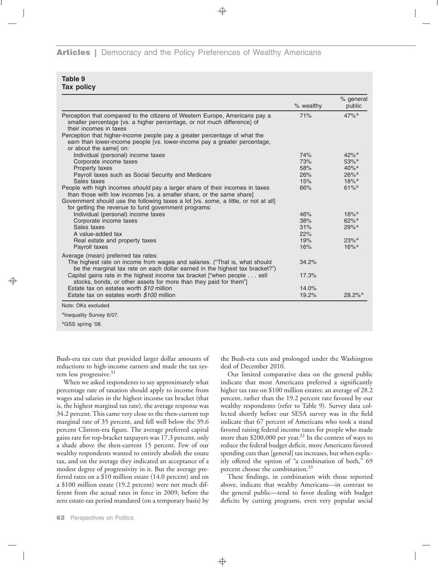**Articles |** Democracy and the Policy Preferences of Wealthy Americans

| Table 9 |                   |
|---------|-------------------|
|         | <b>Tax policy</b> |

|                                                                                                                                                                                                                                                    | % wealthy | % general<br>public   |
|----------------------------------------------------------------------------------------------------------------------------------------------------------------------------------------------------------------------------------------------------|-----------|-----------------------|
| Perception that compared to the citizens of Western Europe, Americans pay a<br>smaller percentage [vs. a higher percentage, or not much difference] of<br>their incomes in taxes                                                                   | 71%       | $47%$ <sup>a</sup>    |
| Perception that higher-income people pay a greater percentage of what the<br>earn than lower-income people [vs. lower-income pay a greater percentage,<br>or about the same] on:                                                                   |           |                       |
| Individual (personal) income taxes                                                                                                                                                                                                                 | 74%       | $42%$ <sup>a</sup>    |
| Corporate income taxes                                                                                                                                                                                                                             | 73%       | $53%$ <sup>a</sup>    |
| Property taxes                                                                                                                                                                                                                                     | 58%       | $40%$ <sup>a</sup>    |
| Payroll taxes such as Social Security and Medicare                                                                                                                                                                                                 | 26%       | $26%$ <sup>a</sup>    |
| Sales taxes                                                                                                                                                                                                                                        | 15%       | $18%$ <sup>a</sup>    |
| People with high incomes <i>should</i> pay a larger share of their incomes in taxes<br>than those with low incomes [vs. a smaller share, or the same share]<br>Government should use the following taxes a lot [vs. some, a little, or not at all] | 66%       | $61\%$ <sup>b</sup>   |
| for getting the revenue to fund government programs:                                                                                                                                                                                               |           |                       |
| Individual (personal) income taxes                                                                                                                                                                                                                 | 46%       | $16\%$ <sup>a</sup>   |
| Corporate income taxes                                                                                                                                                                                                                             | 38%       | $62\%$ <sup>a</sup>   |
| Sales taxes                                                                                                                                                                                                                                        | 31%       | $29%$ <sup>a</sup>    |
| A value-added tax                                                                                                                                                                                                                                  | 22%       |                       |
| Real estate and property taxes                                                                                                                                                                                                                     | 19%       | $23%$ <sup>a</sup>    |
| Payroll taxes                                                                                                                                                                                                                                      | 16%       | $16\%$ <sup>a</sup>   |
|                                                                                                                                                                                                                                                    |           |                       |
| Average (mean) preferred tax rates:<br>The highest rate on income from wages and salaries. ("That is, what should<br>be the marginal tax rate on each dollar earned in the highest tax bracket?")                                                  | 34.2%     |                       |
| Capital gains rate in the highest income tax bracket ["when people sell<br>stocks, bonds, or other assets for more than they paid for them"                                                                                                        | 17.3%     |                       |
| Estate tax on estates worth \$10 million                                                                                                                                                                                                           | 14.0%     |                       |
| Estate tax on estates worth \$100 million                                                                                                                                                                                                          | 19.2%     | $28.2\%$ <sup>a</sup> |
| Note: DKs excluded.                                                                                                                                                                                                                                |           |                       |

aInequality Survey 6/07.

bGSS spring '08.

Bush-era tax cuts that provided larger dollar amounts of reductions to high-income earners and made the tax system less progressive.<sup>31</sup>

When we asked respondents to say approximately what percentage rate of taxation should apply to income from wages and salaries in the highest income tax bracket (that is, the highest marginal tax rate), the average response was 34.2 percent. This came very close to the then-current top marginal rate of 35 percent, and fell well below the 39.6 percent Clinton-era figure. The average preferred capital gains rate for top-bracket taxpayers was 17.3 percent, only a shade above the then-current 15 percent. Few of our wealthy respondents wanted to entirely abolish the estate tax, and on the average they indicated an acceptance of a modest degree of progressivity in it. But the average preferred rates on a \$10 million estate (14.0 percent) and on a \$100 million estate (19.2 percent) were not much different from the actual rates in force in 2009, before the zero estate-tax period mandated (on a temporary basis) by the Bush-era cuts and prolonged under the Washington deal of December 2010.

Our limited comparative data on the general public indicate that most Americans preferred a significantly higher tax rate on \$100 million estates: an average of 28.2 percent, rather than the 19.2 percent rate favored by our wealthy respondents (refer to Table 9). Survey data collected shortly before our SESA survey was in the field indicate that 67 percent of Americans who took a stand favored raising federal income taxes for people who made more than \$200,000 per year.<sup>32</sup> In the context of ways to reduce the federal budget deficit, more Americans favored spending cuts than [general] tax increases, but when explicitly offered the option of "a combination of both," 69 percent choose the combination.<sup>33</sup>

These findings, in combination with those reported above, indicate that wealthy Americans—in contrast to the general public—tend to favor dealing with budget deficits by cutting programs, even very popular social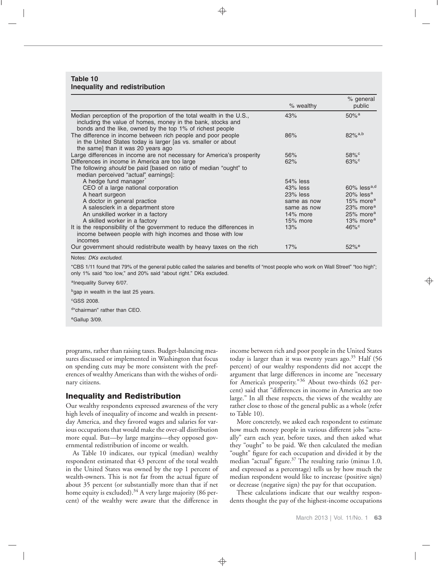#### **Table 10 Inequality and redistribution**

|                                                                                                                                                                                                  | % wealthy   | % general<br>public      |
|--------------------------------------------------------------------------------------------------------------------------------------------------------------------------------------------------|-------------|--------------------------|
| Median perception of the proportion of the total wealth in the U.S.,<br>including the value of homes, money in the bank, stocks and<br>bonds and the like, owned by the top 1% of richest people | 43%         | $50\%$ <sup>a</sup>      |
| The difference in income between rich people and poor people<br>in the United States today is larger [as vs. smaller or about<br>the same] than it was 20 years ago                              | 86%         | 82%a,b                   |
| Large differences in income are not necessary for America's prosperity                                                                                                                           | 56%         | $58\%$ <sup>c</sup>      |
| Differences in income in America are too large<br>The following should be paid [based on ratio of median "ought" to<br>median perceived "actual" earnings]:                                      | 62%         | $63\%$ <sup>c</sup>      |
| A hedge fund manager <sup>*</sup>                                                                                                                                                                | 54% less    |                          |
| CEO of a large national corporation                                                                                                                                                              | $43%$ less  | $60\%$ lessa,d           |
| A heart surgeon                                                                                                                                                                                  | $23%$ less  | $20\%$ less <sup>a</sup> |
| A doctor in general practice                                                                                                                                                                     | same as now | 15% more $a$             |
| A salesclerk in a department store                                                                                                                                                               | same as now | 23% more <sup>a</sup>    |
| An unskilled worker in a factory                                                                                                                                                                 | 14% more    | 25% more <sup>a</sup>    |
| A skilled worker in a factory                                                                                                                                                                    | 15% more    | 13% more <sup>a</sup>    |
| It is the responsibility of the government to reduce the differences in<br>income between people with high incomes and those with low<br>incomes                                                 | 13%         | $46\%$ <sup>c</sup>      |
| Our government should redistribute wealth by heavy taxes on the rich                                                                                                                             | 17%         | $52\%$ <sup>e</sup>      |

\*CBS 1/11 found that 79% of the general public called the salaries and benefits of "most people who work on Wall Street" "too high"; only 1% said "too low," and 20% said "about right." DKs excluded.

aInequality Survey 6/07.

bgap in wealth in the last 25 years.

cGSS 2008.

d"chairman" rather than CEO.

eGallup 3/09.

programs, rather than raising taxes. Budget-balancing measures discussed or implemented in Washington that focus on spending cuts may be more consistent with the preferences of wealthy Americans than with the wishes of ordinary citizens.

# **Inequality and Redistribution**

Our wealthy respondents expressed awareness of the very high levels of inequality of income and wealth in presentday America, and they favored wages and salaries for various occupations that would make the over-all distribution more equal. But—by large margins—they opposed governmental redistribution of income or wealth.

As Table 10 indicates, our typical (median) wealthy respondent estimated that 43 percent of the total wealth in the United States was owned by the top 1 percent of wealth-owners. This is not far from the actual figure of about 35 percent (or substantially more than that if net home equity is excluded). $34$  A very large majority (86 percent) of the wealthy were aware that the difference in

income between rich and poor people in the United States today is larger than it was twenty years ago.<sup>35</sup> Half  $(56$ percent) of our wealthy respondents did not accept the argument that large differences in income are "necessary for America's prosperity."<sup>36</sup> About two-thirds (62 percent) said that "differences in income in America are too large." In all these respects, the views of the wealthy are rather close to those of the general public as a whole (refer to Table 10).

More concretely, we asked each respondent to estimate how much money people in various different jobs "actually" earn each year, before taxes, and then asked what they "ought" to be paid. We then calculated the median "ought" figure for each occupation and divided it by the median "actual" figure.<sup>37</sup> The resulting ratio (minus 1.0, and expressed as a percentage) tells us by how much the median respondent would like to increase (positive sign) or decrease (negative sign) the pay for that occupation.

These calculations indicate that our wealthy respondents thought the pay of the highest-income occupations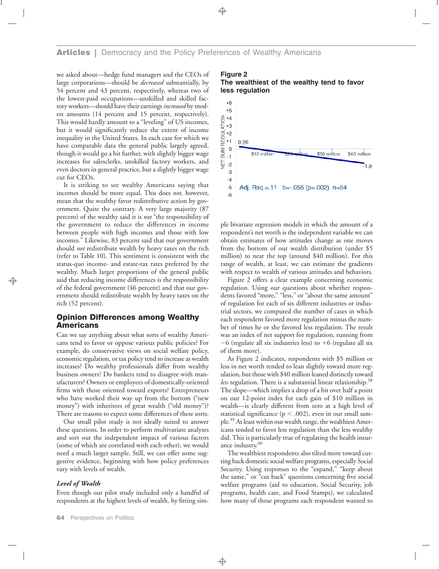we asked about—hedge fund managers and the CEOs of large corporations—should be *decreased* substantially, by 54 percent and 43 percent, respectively, whereas two of the lowest-paid occupations—unskilled and skilled factory workers—should have their earnings *increased* by modest amounts (14 percent and 15 percent, respectively). This would hardly amount to a "leveling" of US incomes, but it would significantly reduce the extent of income inequality in the United States. In each case for which we have comparable data the general public largely agreed, though it would go a bit further, with slightly bigger wage increases for salesclerks, unskilled factory workers, and even doctors in general practice, but a slightly bigger wage cut for CEOs.

It is striking to see wealthy Americans saying that incomes should be more equal. This does *not,* however, mean that the wealthy favor redistributive action by government. Quite the contrary. A very large majority (87 percent) of the wealthy said it is *not* "the responsibility of the government to reduce the differences in income between people with high incomes and those with low incomes." Likewise, 83 percent said that our government should *not* redistribute wealth by heavy taxes on the rich (refer to Table 10). This sentiment is consistent with the status-quo income- and estate-tax rates preferred by the wealthy. Much larger proportions of the general public said that reducing income differences is the responsibility of the federal government (46 percent) and that our government should redistribute wealth by heavy taxes on the rich (52 percent).

#### **Opinion Differences among Wealthy Americans**

Can we say anything about what sorts of wealthy Americans tend to favor or oppose various public policies? For example, do conservative views on social welfare policy, economic regulation, or tax policy tend to increase as wealth increases? Do wealthy professionals differ from wealthy business owners? Do bankers tend to disagree with manufacturers? Owners or employees of domestically-oriented firms with those oriented toward exports? Entrepreneurs who have worked their way up from the bottom ("new money") with inheritors of great wealth ("old money")? There are reasons to expect some differences of these sorts.

Our small pilot study is not ideally suited to answer these questions. In order to perform multivariate analyses and sort out the independent impact of various factors (some of which are correlated with each other), we would need a much larger sample. Still, we can offer some suggestive evidence, beginning with how policy preferences vary with levels of wealth.

#### *Level of Wealth*

Even though our pilot study included only a handful of respondents at the highest levels of wealth, by fitting sim-

#### **Figure 2 The wealthiest of the wealthy tend to favor less regulation**



ple bivariate regression models in which the amount of a respondent's net worth is the independent variable we can obtain estimates of how attitudes change as one moves from the bottom of our wealth distribution (under \$5 million) to near the top (around \$40 million). For this range of wealth, at least, we can estimate the gradients with respect to wealth of various attitudes and behaviors.

Figure 2 offers a clear example concerning economic regulation. Using our questions about whether respondents favored "more," "less," or "about the same amount" of regulation for each of six different industries or industrial sectors, we computed the number of cases in which each respondent favored more regulation minus the number of times he or she favored less regulation. The result was an index of net support for regulation, running from  $-6$  (regulate all six industries less) to  $+6$  (regulate all six of them more).

As Figure 2 indicates, respondents with \$5 million or less in net worth tended to lean slightly toward more regulation, but those with \$40 million leaned distinctly toward less regulation. There is a substantial linear relationship.<sup>38</sup> The slope—which implies a drop of a bit over half a point on our 12-point index for each gain of \$10 million in wealth—is clearly different from zero at a high level of statistical significance ( $p < .002$ ), even in our small sample.39 At least within our wealth range, the wealthiest Americans tended to favor less regulation than the less wealthy did. This is particularly true of regulating the health insurance industry.40

The wealthiest respondents also tilted more toward cutting back domestic social welfare programs, especially Social Security. Using responses to the "expand," "keep about the same," or "cut back" questions concerning five social welfare programs (aid to education, Social Security, job programs, health care, and Food Stamps), we calculated how many of those programs each respondent wanted to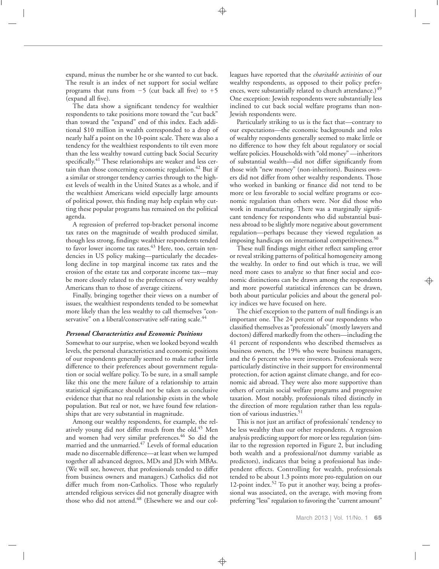expand, minus the number he or she wanted to cut back. The result is an index of net support for social welfare programs that runs from  $-5$  (cut back all five) to  $+5$ (expand all five).

The data show a significant tendency for wealthier respondents to take positions more toward the "cut back" than toward the "expand" end of this index. Each additional \$10 million in wealth corresponded to a drop of nearly half a point on the 10-point scale. There was also a tendency for the wealthiest respondents to tilt even more than the less wealthy toward cutting back Social Security specifically.<sup>41</sup> These relationships are weaker and less certain than those concerning economic regulation.<sup>42</sup> But if a similar or stronger tendency carries through to the highest levels of wealth in the United States as a whole, and if the wealthiest Americans wield especially large amounts of political power, this finding may help explain why cutting these popular programs has remained on the political agenda.

A regression of preferred top-bracket personal income tax rates on the magnitude of wealth produced similar, though less strong, findings: wealthier respondents tended to favor lower income tax rates.<sup>43</sup> Here, too, certain tendencies in US policy making—particularly the decadeslong decline in top marginal income tax rates and the erosion of the estate tax and corporate income tax—may be more closely related to the preferences of very wealthy Americans than to those of average citizens.

Finally, bringing together their views on a number of issues, the wealthiest respondents tended to be somewhat more likely than the less wealthy to call themselves "conservative" on a liberal/conservative self-rating scale.<sup>44</sup>

#### *Personal Characteristics and Economic Positions*

Somewhat to our surprise, when we looked beyond wealth levels, the personal characteristics and economic positions of our respondents generally seemed to make rather little difference to their preferences about government regulation or social welfare policy. To be sure, in a small sample like this one the mere failure of a relationship to attain statistical significance should not be taken as conclusive evidence that that no real relationship exists in the whole population. But real or not, we have found few relationships that are very substantial in magnitude.

Among our wealthy respondents, for example, the relatively young did not differ much from the old.<sup>45</sup> Men and women had very similar preferences.<sup>46</sup> So did the married and the unmarried.<sup>47</sup> Levels of formal education made no discernable difference—at least when we lumped together all advanced degrees, MDs and JDs with MBAs. (We will see, however, that professionals tended to differ from business owners and managers.) Catholics did not differ much from non-Catholics. Those who regularly attended religious services did not generally disagree with those who did not attend.<sup>48</sup> (Elsewhere we and our colleagues have reported that the *charitable activities* of our wealthy respondents, as opposed to their policy preferences, were substantially related to church attendance.) $49$ One exception: Jewish respondents were substantially less inclined to cut back social welfare programs than non-Jewish respondents were.

Particularly striking to us is the fact that—contrary to our expectations—the economic backgrounds and roles of wealthy respondents generally seemed to make little or no difference to how they felt about regulatory or social welfare policies. Households with "old money" —inheritors of substantial wealth—did not differ significantly from those with "new money" (non-inheritors). Business owners did not differ from other wealthy respondents. Those who worked in banking or finance did not tend to be more or less favorable to social welfare programs or economic regulation than others were. Nor did those who work in manufacturing. There was a marginally significant tendency for respondents who did substantial business abroad to be slightly more negative about government regulation—perhaps because they viewed regulation as imposing handicaps on international competitiveness.<sup>50</sup>

These null findings might either reflect sampling error or reveal striking patterns of political homogeneity among the wealthy. In order to find out which is true, we will need more cases to analyze so that finer social and economic distinctions can be drawn among the respondents and more powerful statistical inferences can be drawn, both about particular policies and about the general policy indices we have focused on here.

The chief exception to the pattern of null findings is an important one. The 24 percent of our respondents who classified themselves as "professionals" (mostly lawyers and doctors) differed markedly from the others—including the 41 percent of respondents who described themselves as business owners, the 19% who were business managers, and the 6 percent who were investors. Professionals were particularly distinctive in their support for environmental protection, for action against climate change, and for economic aid abroad. They were also more supportive than others of certain social welfare programs and progressive taxation. Most notably, professionals tilted distinctly in the direction of more regulation rather than less regulation of various industries.<sup>51</sup>

This is not just an artifact of professionals' tendency to be less wealthy than our other respondents. A regression analysis predicting support for more or less regulation (similar to the regression reported in Figure 2, but including both wealth and a professional/not dummy variable as predictors), indicates that being a professional has independent effects. Controlling for wealth, professionals tended to be about 1.3 points more pro-regulation on our 12-point index. $52$  To put it another way, being a professional was associated, on the average, with moving from preferring "less" regulation to favoring the "current amount"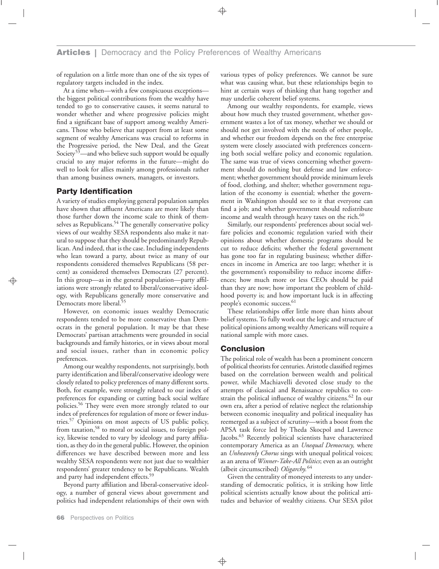of regulation on a little more than one of the six types of regulatory targets included in the index.

At a time when—with a few conspicuous exceptions the biggest political contributions from the wealthy have tended to go to conservative causes, it seems natural to wonder whether and where progressive policies might find a significant base of support among wealthy Americans. Those who believe that support from at least some segment of wealthy Americans was crucial to reforms in the Progressive period, the New Deal, and the Great Society<sup>53</sup>—and who believe such support would be equally crucial to any major reforms in the future—might do well to look for allies mainly among professionals rather than among business owners, managers, or investors.

# **Party Identification**

A variety of studies employing general population samples have shown that affluent Americans are more likely than those further down the income scale to think of themselves as Republicans.<sup>54</sup> The generally conservative policy views of our wealthy SESA respondents also make it natural to suppose that they should be predominantly Republican. And indeed, that is the case. Including independents who lean toward a party, about twice as many of our respondents considered themselves Republicans (58 percent) as considered themselves Democrats (27 percent). In this group—as in the general population—party affiliations were strongly related to liberal/conservative ideology, with Republicans generally more conservative and Democrats more liberal.<sup>55</sup>

However, on economic issues wealthy Democratic respondents tended to be more conservative than Democrats in the general population. It may be that these Democrats' partisan attachments were grounded in social backgrounds and family histories, or in views about moral and social issues, rather than in economic policy preferences.

Among our wealthy respondents, not surprisingly, both party identification and liberal/conservative ideology were closely related to policy preferences of many different sorts. Both, for example, were strongly related to our index of preferences for expanding or cutting back social welfare policies.<sup>56</sup> They were even more strongly related to our index of preferences for regulation of more or fewer industries.57 Opinions on most aspects of US public policy, from taxation,<sup>58</sup> to moral or social issues, to foreign policy, likewise tended to vary by ideology and party affiliation, as they do in the general public. However, the opinion differences we have described between more and less wealthy SESA respondents were not just due to wealthier respondents' greater tendency to be Republicans. Wealth and party had independent effects.<sup>59</sup>

Beyond party affiliation and liberal-conservative ideology, a number of general views about government and politics had independent relationships of their own with various types of policy preferences. We cannot be sure what was causing what, but these relationships begin to hint at certain ways of thinking that hang together and may underlie coherent belief systems.

Among our wealthy respondents, for example, views about how much they trusted government, whether government wastes a lot of tax money, whether we should or should not get involved with the needs of other people, and whether our freedom depends on the free enterprise system were closely associated with preferences concerning both social welfare policy and economic regulation. The same was true of views concerning whether government should do nothing but defense and law enforcement; whether government should provide minimum levels of food, clothing, and shelter; whether government regulation of the economy is essential; whether the government in Washington should see to it that everyone can find a job; and whether government should redistribute income and wealth through heavy taxes on the rich.<sup>60</sup>

Similarly, our respondents' preferences about social welfare policies and economic regulation varied with their opinions about whether domestic programs should be cut to reduce deficits; whether the federal government has gone too far in regulating business; whether differences in income in America are too large; whether it is the government's responsibility to reduce income differences; how much more or less CEOs should be paid than they are now; how important the problem of childhood poverty is; and how important luck is in affecting people's economic success.<sup>61</sup>

These relationships offer little more than hints about belief systems. To fully work out the logic and structure of political opinions among wealthy Americans will require a national sample with more cases.

# **Conclusion**

The political role of wealth has been a prominent concern of political theorists for centuries. Aristotle classified regimes based on the correlation between wealth and political power, while Machiavelli devoted close study to the attempts of classical and Renaissance republics to constrain the political influence of wealthy citizens.<sup>62</sup> In our own era, after a period of relative neglect the relationship between economic inequality and political inequality has reemerged as a subject of scrutiny—with a boost from the APSA task force led by Theda Skocpol and Lawrence Jacobs.<sup>63</sup> Recently political scientists have characterized contemporary America as an *Unequal Democracy,* where an *Unheavenly Chorus* sings with unequal political voices; as an arena of *Winner-Take-All Politics*; even as an outright (albeit circumscribed) *Oligarchy.*<sup>64</sup>

Given the centrality of moneyed interests to any understanding of democratic politics, it is striking how little political scientists actually know about the political attitudes and behavior of wealthy citizens. Our SESA pilot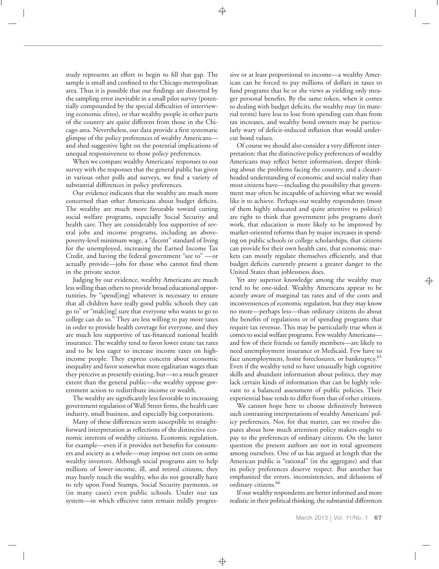study represents an effort to begin to fill that gap. The sample is small and confined to the Chicago metropolitan area. Thus it is possible that our findings are distorted by the sampling error inevitable in a small pilot survey (potentially compounded by the special difficulties of interviewing economic elites), or that wealthy people in other parts of the country are quite different from those in the Chicago area. Nevertheless, our data provide a first systematic glimpse of the policy preferences of wealthy Americans and shed suggestive light on the potential implications of unequal responsiveness to those policy preferences.

When we compare wealthy Americans' responses to our survey with the responses that the general public has given in various other polls and surveys, we find a variety of substantial differences in policy preferences.

Our evidence indicates that the wealthy are much more concerned than other Americans about budget deficits. The wealthy are much more favorable toward cutting social welfare programs, especially Social Security and health care. They are considerably less supportive of several jobs and income programs, including an abovepoverty-level minimum wage, a "decent" standard of living for the unemployed, increasing the Earned Income Tax Credit, and having the federal government "see to" —or actually provide—jobs for those who cannot find them in the private sector.

Judging by our evidence, wealthy Americans are much less willing than others to provide broad educational opportunities, by "spend[ing] whatever is necessary to ensure that all children have really good public schools they can go to" or "mak[ing] sure that everyone who wants to go to college can do so." They are less willing to pay more taxes in order to provide health coverage for everyone, and they are much less supportive of tax-financed national health insurance. The wealthy tend to favor lower estate tax rates and to be less eager to increase income taxes on highincome people. They express concern about economic inequality and favor somewhat more egalitarian wages than they perceive as presently existing, but—to a much greater extent than the general public—the wealthy oppose government action to redistribute income or wealth.

The wealthy are significantly less favorable to increasing government regulation of Wall Street firms, the health care industry, small business, and especially big corporations.

Many of these differences seem susceptible to straightforward interpretation as reflections of the distinctive economic interests of wealthy citizens. Economic regulation, for example—even if it provides net benefits for consumers and society as a whole—may impose net costs on some wealthy investors. Although social programs aim to help millions of lower-income, ill, and retired citizens, they may barely touch the wealthy, who do not generally have to rely upon Food Stamps, Social Security payments, or (in many cases) even public schools. Under our tax system—in which effective rates remain mildly progressive or at least proportional to income—a wealthy American can be forced to pay millions of dollars in taxes to fund programs that he or she views as yielding only meager personal benefits. By the same token, when it comes to dealing with budget deficits, the wealthy may (in material terms) have less to lose from spending cuts than from tax increases, and wealthy bond owners may be particularly wary of deficit-induced inflation that would undercut bond values.

Of course we should also consider a very different interpretation: that the distinctive policy preferences of wealthy Americans may reflect better information, deeper thinking about the problems facing the country, and a clearerheaded understanding of economic and social reality than most citizens have—including the possibility that government may often be incapable of achieving what we would like it to achieve. Perhaps our wealthy respondents (most of them highly educated and quite attentive to politics) are right to think that government jobs programs don't work, that education is more likely to be improved by market-oriented reforms than by major increases in spending on public schools or college scholarships, that citizens can provide for their own health care, that economic markets can mostly regulate themselves efficiently, and that budget deficits currently present a greater danger to the United States than joblessness does.

Yet any superior knowledge among the wealthy may tend to be one-sided. Wealthy Americans appear to be acutely aware of marginal tax rates and of the costs and inconveniences of economic regulation, but they may know no more—perhaps less—than ordinary citizens do about the benefits of regulations or of spending programs that require tax revenue. This may be particularly true when it comes to social welfare programs. Few wealthy Americans and few of their friends or family members—are likely to need unemployment insurance or Medicaid. Few have to face unemployment, home foreclosures, or bankruptcy.<sup>65</sup> Even if the wealthy tend to have unusually high cognitive skills and abundant information about politics, they may lack certain kinds of information that can be highly relevant to a balanced assessment of public policies. Their experiential base tends to differ from that of other citizens.

We cannot hope here to choose definitively between such contrasting interpretations of wealthy Americans' policy preferences. Nor, for that matter, can we resolve disputes about how much attention policy makers ought to pay to the preferences of ordinary citizens. On the latter question the present authors are not in total agreement among ourselves. One of us has argued at length that the American public is "rational" (in the aggregate) and that its policy preferences deserve respect. But another has emphasized the errors, inconsistencies, and delusions of ordinary citizens.<sup>66</sup>

If our wealthy respondents are better informed and more realistic in their political thinking, the substantial differences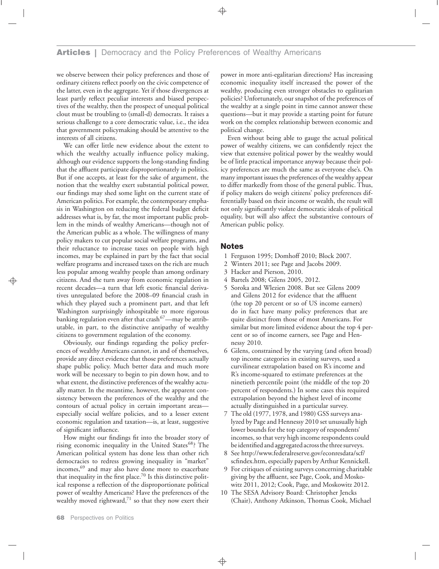# **Articles |** Democracy and the Policy Preferences of Wealthy Americans

we observe between their policy preferences and those of ordinary citizens reflect poorly on the civic competence of the latter, even in the aggregate. Yet if those divergences at least partly reflect peculiar interests and biased perspectives of the wealthy, then the prospect of unequal political clout must be troubling to (small-d) democrats. It raises a serious challenge to a core democratic value, i.e., the idea that government policymaking should be attentive to the interests of all citizens.

We can offer little new evidence about the extent to which the wealthy actually influence policy making, although our evidence supports the long-standing finding that the affluent participate disproportionately in politics. But if one accepts, at least for the sake of argument, the notion that the wealthy exert substantial political power, our findings may shed some light on the current state of American politics. For example, the contemporary emphasis in Washington on reducing the federal budget deficit addresses what is, by far, the most important public problem in the minds of wealthy Americans—though not of the American public as a whole. The willingness of many policy makers to cut popular social welfare programs, and their reluctance to increase taxes on people with high incomes, may be explained in part by the fact that social welfare programs and increased taxes on the rich are much less popular among wealthy people than among ordinary citizens. And the turn away from economic regulation in recent decades—a turn that left exotic financial derivatives unregulated before the 2008–09 financial crash in which they played such a prominent part, and that left Washington surprisingly inhospitable to more rigorous banking regulation even after that crash<sup>67</sup>—may be attributable, in part, to the distinctive antipathy of wealthy citizens to government regulation of the economy.

Obviously, our findings regarding the policy preferences of wealthy Americans cannot, in and of themselves, provide any direct evidence that those preferences actually shape public policy. Much better data and much more work will be necessary to begin to pin down how, and to what extent, the distinctive preferences of the wealthy actually matter. In the meantime, however, the apparent consistency between the preferences of the wealthy and the contours of actual policy in certain important areas especially social welfare policies, and to a lesser extent economic regulation and taxation—is, at least, suggestive of significant influence.

How might our findings fit into the broader story of rising economic inequality in the United States $68$ ? The American political system has done less than other rich democracies to redress growing inequality in "market" incomes,69 and may also have done more to exacerbate that inequality in the first place.<sup>70</sup> Is this distinctive political response a reflection of the disproportionate political power of wealthy Americans? Have the preferences of the wealthy moved rightward, $71$  so that they now exert their

power in more anti-egalitarian directions? Has increasing economic inequality itself increased the power of the wealthy, producing even stronger obstacles to egalitarian policies? Unfortunately, our snapshot of the preferences of the wealthy at a single point in time cannot answer these questions—but it may provide a starting point for future work on the complex relationship between economic and political change.

Even without being able to gauge the actual political power of wealthy citizens, we can confidently reject the view that extensive political power by the wealthy would be of little practical importance anyway because their policy preferences are much the same as everyone else's. On many important issues the preferences of the wealthy appear to differ markedly from those of the general public. Thus, if policy makers do weigh citizens' policy preferences differentially based on their income or wealth, the result will not only significantly violate democratic ideals of political equality, but will also affect the substantive contours of American public policy.

# **Notes**

- 1 Ferguson 1995; Domhoff 2010; Block 2007.
- 2 Winters 2011; see Page and Jacobs 2009.
- 3 Hacker and Pierson, 2010.
- 4 Bartels 2008; Gilens 2005, 2012.
- 5 Soroka and Wlezien 2008. But see Gilens 2009 and Gilens 2012 for evidence that the affluent (the top 20 percent or so of US income earners) do in fact have many policy preferences that are quite distinct from those of most Americans. For similar but more limited evidence about the top 4 percent or so of income earners, see Page and Hennessy 2010.
- 6 Gilens, constrained by the varying (and often broad) top income categories in existing surveys, used a curvilinear extrapolation based on R's income and R's income-squared to estimate preferences at the ninetieth percentile point (the middle of the top 20 percent of respondents.) In some cases this required extrapolation beyond the highest level of income actually distinguished in a particular survey.
- 7 The old (1977, 1978, and 1980) GSS surveys analyzed by Page and Hennessy 2010 set unusually high lower bounds for the top category of respondents' incomes, so that very high income respondents could beidentified and aggregated across the three surveys.
- 8 See http://www.federalreserve.gov/econresdata/scf/ scfindex.htm, especially papers by Arthur Kennickell.
- 9 For critiques of existing surveys concerning charitable giving by the affluent, see Page, Cook, and Moskowitz 2011, 2012; Cook, Page, and Moskowitz 2012.
- 10 The SESA Advisory Board: Christopher Jencks (Chair), Anthony Atkinson, Thomas Cook, Michael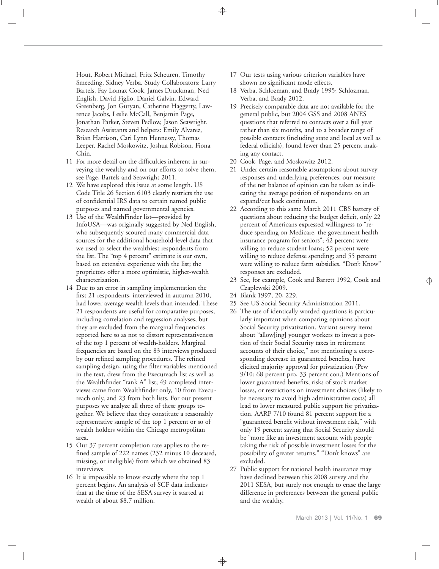Hout, Robert Michael, Fritz Scheuren, Timothy Smeeding, Sidney Verba. Study Collaborators: Larry Bartels, Fay Lomax Cook, James Druckman, Ned English, David Figlio, Daniel Galvin, Edward Greenberg, Jon Guryan, Catherine Haggerty, Lawrence Jacobs, Leslie McCall, Benjamin Page, Jonathan Parker, Steven Pedlow, Jason Seawright. Research Assistants and helpers: Emily Alvarez, Brian Harrison, Cari Lynn Hennessy, Thomas Leeper, Rachel Moskowitz, Joshua Robison, Fiona Chin.

- 11 For more detail on the difficulties inherent in surveying the wealthy and on our efforts to solve them, see Page, Bartels and Seawright 2011.
- 12 We have explored this issue at some length. US Code Title 26 Section 6103 clearly restricts the use of confidential IRS data to certain named public purposes and named governmental agencies.
- 13 Use of the WealthFinder list—provided by InfoUSA—was originally suggested by Ned English, who subsequently scoured many commercial data sources for the additional household-level data that we used to select the wealthiest respondents from the list. The "top 4 percent" estimate is our own, based on extensive experience with the list; the proprietors offer a more optimistic, higher-wealth characterization.
- 14 Due to an error in sampling implementation the first 21 respondents, interviewed in autumn 2010, had lower average wealth levels than intended. These 21 respondents are useful for comparative purposes, including correlation and regression analyses, but they are excluded from the marginal frequencies reported here so as not to distort representativeness of the top 1 percent of wealth-holders. Marginal frequencies are based on the 83 interviews produced by our refined sampling procedures. The refined sampling design, using the filter variables mentioned in the text, drew from the Execureach list as well as the Wealthfinder "rank A" list; 49 completed interviews came from Wealthfinder only, 10 from Execureach only, and 23 from both lists. For our present purposes we analyze all three of these groups together. We believe that they constitute a reasonably representative sample of the top 1 percent or so of wealth holders within the Chicago metropolitan area.
- 15 Our 37 percent completion rate applies to the refined sample of 222 names (232 minus 10 deceased, missing, or ineligible) from which we obtained 83 interviews.
- 16 It is impossible to know exactly where the top 1 percent begins. An analysis of SCF data indicates that at the time of the SESA survey it started at wealth of about \$8.7 million.
- 17 Our tests using various criterion variables have shown no significant mode effects.
- 18 Verba, Schlozman, and Brady 1995; Schlozman, Verba, and Brady 2012.
- 19 Precisely comparable data are not available for the general public, but 2004 GSS and 2008 ANES questions that referred to contacts over a full year rather than six months, and to a broader range of possible contacts (including state and local as well as federal officials), found fewer than 25 percent making any contact.
- 20 Cook, Page, and Moskowitz 2012.
- 21 Under certain reasonable assumptions about survey responses and underlying preferences, our measure of the net balance of opinion can be taken as indicating the average position of respondents on an expand/cut back continuum.
- 22 According to this same March 2011 CBS battery of questions about reducing the budget deficit, only 22 percent of Americans expressed willingness to "reduce spending on Medicare, the government health insurance program for seniors"; 42 percent were willing to reduce student loans; 52 percent were willing to reduce defense spending; and 55 percent were willing to reduce farm subsidies. "Don't Know" responses are excluded.
- 23 See, for example, Cook and Barrett 1992, Cook and Czaplewski 2009.
- 24 Blank 1997, 20, 229.
- 25 See US Social Security Administration 2011.
- 26 The use of identically worded questions is particularly important when comparing opinions about Social Security privatization. Variant survey items about "allow[ing] younger workers to invest a portion of their Social Security taxes in retirement accounts of their choice," not mentioning a corresponding decrease in guaranteed benefits, have elicited majority approval for privatization (Pew 9/10: 68 percent pro, 33 percent con.) Mentions of lower guaranteed benefits, risks of stock market losses, or restrictions on investment choices (likely to be necessary to avoid high administrative costs) all lead to lower measured public support for privatization. AARP 7/10 found 81 percent support for a "guaranteed benefit without investment risk," with only 19 percent saying that Social Security should be "more like an investment account with people taking the risk of possible investment losses for the possibility of greater returns." "Don't knows" are excluded.
- 27 Public support for national health insurance may have declined between this 2008 survey and the 2011 SESA, but surely not enough to erase the large difference in preferences between the general public and the wealthy.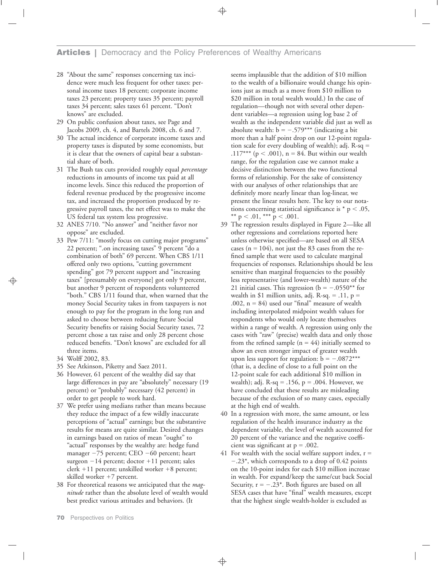- 28 "About the same" responses concerning tax incidence were much less frequent for other taxes: personal income taxes 18 percent; corporate income taxes 23 percent; property taxes 35 percent; payroll taxes 34 percent; sales taxes 61 percent. "Don't knows" are excluded.
- 29 On public confusion about taxes, see Page and Jacobs 2009, ch. 4, and Bartels 2008, ch. 6 and 7.
- 30 The actual incidence of corporate income taxes and property taxes is disputed by some economists, but it is clear that the owners of capital bear a substantial share of both.
- 31 The Bush tax cuts provided roughly equal *percentage* reductions in amounts of income tax paid at all income levels. Since this reduced the proportion of federal revenue produced by the progressive income tax, and increased the proportion produced by regressive payroll taxes, the net effect was to make the US federal tax system less progressive.
- 32 ANES 7/10. "No answer" and "neither favor nor oppose" are excluded.
- 33 Pew 7/11: "mostly focus on cutting major programs" 22 percent; ".on increasing taxes" 9 percent "do a combination of both" 69 percent. When CBS 1/11 offered only two options, "cutting government spending" got 79 percent support and "increasing taxes" [presumably on everyone] got only 9 percent, but another 9 percent of respondents volunteered "both." CBS 1/11 found that, when warned that the money Social Security takes in from taxpayers is not enough to pay for the program in the long run and asked to choose between reducing future Social Security benefits or raising Social Security taxes, 72 percent chose a tax raise and only 28 percent chose reduced benefits. "Don't knows" are excluded for all three items.
- 34 Wolff 2002, 83.
- 35 See Atkinson, Piketty and Saez 2011.
- 36 However, 61 percent of the wealthy did say that large differences in pay are "absolutely" necessary (19 percent) or "probably" necessary (42 percent) in order to get people to work hard.
- 37 We prefer using medians rather than means because they reduce the impact of a few wildly inaccurate perceptions of "actual" earnings; but the substantive results for means are quite similar. Desired changes in earnings based on ratios of mean "ought" to "actual" responses by the wealthy are: hedge fund manager  $-75$  percent; CEO  $-60$  percent; heart surgeon -14 percent; doctor +11 percent; sales clerk -11 percent; unskilled worker -8 percent; skilled worker -7 percent.
- 38 For theoretical reasons we anticipated that the *magnitude* rather than the absolute level of wealth would best predict various attitudes and behaviors. (It

seems implausible that the addition of \$10 million to the wealth of a billionaire would change his opinions just as much as a move from \$10 million to \$20 million in total wealth would.) In the case of regulation—though not with several other dependent variables—a regression using log base 2 of wealth as the independent variable did just as well as absolute wealth:  $b = -.579***$  (indicating a bit more than a half point drop on our 12-point regulation scale for every doubling of wealth); adj. R-sq .117\*\*\* ( $p < .001$ ),  $n = 84$ . But within our wealth range, for the regulation case we cannot make a decisive distinction between the two functional forms of relationship. For the sake of consistency with our analyses of other relationships that are definitely more nearly linear than log-linear, we present the linear results here. The key to our notations concerning statistical significance is  $* p < .05$ , \*\*  $p < .01$ , \*\*\*  $p < .001$ .

- 39 The regression results displayed in Figure 2—like all other regressions and correlations reported here unless otherwise specified—are based on all SESA cases ( $n = 104$ ), not just the 83 cases from the refined sample that were used to calculate marginal frequencies of responses. Relationships should be less sensitive than marginal frequencies to the possibly less representative (and lower-wealth) nature of the 21 initial cases. This regression ( $b = -.0550**$  for wealth in \$1 million units, adj. R-sq.  $= .11$ , p  $=$ .002,  $n = 84$ ) used our "final" measure of wealth including interpolated midpoint wealth values for respondents who would only locate themselves within a range of wealth. A regression using only the cases with "raw" (precise) wealth data and only those from the refined sample  $(n = 44)$  initially seemed to show an even stronger impact of greater wealth upon less support for regulation:  $b = -.0872***$ (that is, a decline of close to a full point on the 12-point scale for each additional \$10 million in wealth); adj. R-sq =  $.156$ , p =  $.004$ . However, we have concluded that these results are misleading because of the exclusion of so many cases, especially at the high end of wealth.
- 40 In a regression with more, the same amount, or less regulation of the health insurance industry as the dependent variable, the level of wealth accounted for 20 percent of the variance and the negative coefficient was significant at  $p = .002$ .
- 41 For wealth with the social welfare support index,  $r =$  $-.23^*$ , which corresponds to a drop of 0.42 points on the 10-point index for each \$10 million increase in wealth. For expand/keep the same/cut back Social Security,  $r = -.23^*$ . Both figures are based on all SESA cases that have "final" wealth measures, except that the highest single wealth-holder is excluded as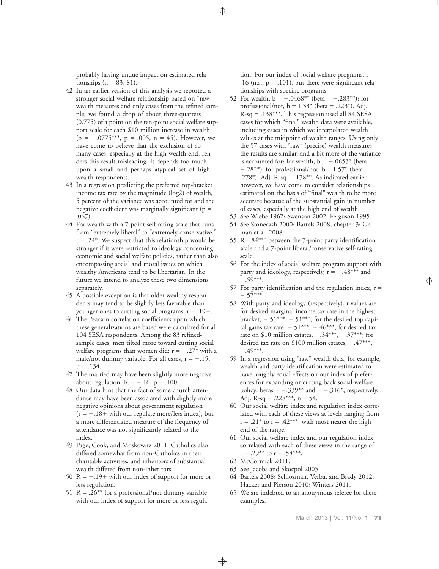probably having undue impact on estimated relationships ( $n = 83, 81$ ).

- 42 In an earlier version of this analysis we reported a stronger social welfare relationship based on "raw" wealth measures and only cases from the refined sample; we found a drop of about three-quarters (0.775) of a point on the ten-point social welfare support scale for each \$10 million increase in wealth  $(b = -.0775***, p = .005, n = 45)$ . However, we have come to believe that the exclusion of so many cases, especially at the high-wealth end, renders this result misleading. It depends too much upon a small and perhaps atypical set of highwealth respondents.
- 43 In a regression predicting the preferred top-bracket income tax rate by the magnitude (log2) of wealth, 5 percent of the variance was accounted for and the negative coefficient was marginally significant ( $p =$ .067).
- 44 For wealth with a 7-point self-rating scale that runs from "extremely liberal" to "extremely conservative,"  $r = .24^*$ . We suspect that this relationship would be stronger if it were restricted to ideology concerning economic and social welfare policies, rather than also encompassing social and moral issues on which wealthy Americans tend to be libertarian. In the future we intend to analyze these two dimensions separately.
- 45 A possible exception is that older wealthy respondents may tend to be slightly less favorable than younger ones to cutting social programs:  $r = .19 + .$
- 46 The Pearson correlation coefficients upon which these generalizations are based were calculated for all 104 SESA respondents. Among the 83 refinedsample cases, men tilted more toward cutting social welfare programs than women did:  $r = -.27*$  with a male/not dummy variable. For all cases,  $r = -.15$ ,  $p = .134$ .
- 47 The married may have been slightly more negative about regulation;  $R = -.16$ ,  $p = .100$ .
- 48 Our data hint that the fact of some church attendance may have been associated with slightly more negative opinions about government regulation  $(r = -.18 + \text{ with our regulate more/less index})$ , but a more differentiated measure of the frequency of attendance was not significantly related to the index.
- 49 Page, Cook, and Moskowitz 2011. Catholics also differed somewhat from non-Catholics in their charitable activities, and inheritors of substantial wealth differed from non-inheritors.
- 50  $R = -0.19 +$  with our index of support for more or less regulation.
- 51  $R = .26^{**}$  for a professional/not dummy variable with our index of support for more or less regula-

tion. For our index of social welfare programs,  $r =$ .16 (n.s.;  $p = .101$ ), but there were significant relationships with specific programs.

- 52 For wealth,  $b = -.0468**$  (beta =  $-.283**$ ); for professional/not,  $b = 1.33$ <sup>\*</sup> (beta = .223<sup>\*</sup>). Adj.  $R-sq = .138***$ . This regression used all 84 SESA cases for which "final" wealth data were available, including cases in which we interpolated wealth values at the midpoint of wealth ranges. Using only the 57 cases with "raw" (precise) wealth measures the results are similar, and a bit more of the variance is accounted for: for wealth,  $b = -.0653*$  (beta =  $-.282^*$ ); for professional/not,  $b = 1.57^*$  (beta = .278\*). Adj. R-sq = .178\*\*. As indicated earlier, however, we have come to consider relationships estimated on the basis of "final" wealth to be more accurate because of the substantial gain in number of cases, especially at the high end of wealth.
- 53 See Wiebe 1967; Swenson 2002; Ferguson 1995.
- 54 See Stonecash 2000; Bartels 2008, chapter 3; Gelman et al. 2008.
- 55  $R = .84***$  between the 7-point party identification scale and a 7-point liberal/conservative self-rating scale.
- 56 For the index of social welfare program support with party and ideology, respectively,  $r = -.48***$  and  $-.59***$ .
- 57 For party identification and the regulation index,  $r =$  $-.57***$ .
- 58 With party and ideology (respectively), r values are: for desired marginal income tax rate in the highest bracket,  $-.51***$ ,  $-.51***$ ; for the desired top capital gains tax rate,  $-.51***$ ,  $-.46***$ ; for desired tax rate on \$10 million estates,  $-.34***$ ,  $-.37***$ ; for desired tax rate on \$100 million estates,  $-.47***$ ,  $-.49***.$
- 59 In a regression using "raw" wealth data, for example, wealth and party identification were estimated to have roughly equal effects on our index of preferences for expanding or cutting back social welfare policy: betas =  $-.339**$  and =  $-.316*$ , respectively. Adj. R-sq =  $.228***$ , n = 54.
- 60 Our social welfare index and regulation index correlated with each of these views at levels ranging from  $r = .21^*$  to  $r = .42^{***}$ , with most nearer the high end of the range.
- 61 Our social welfare index and our regulation index correlated with each of these views in the range of  $r = .29^{**}$  to  $r = .58^{***}$ .
- 62 McCormick 2011.
- 63 See Jacobs and Skocpol 2005.
- 64 Bartels 2008; Schlozman, Verba, and Brady 2012; Hacker and Pierson 2010; Winters 2011.
- 65 We are indebted to an anonymous referee for these examples.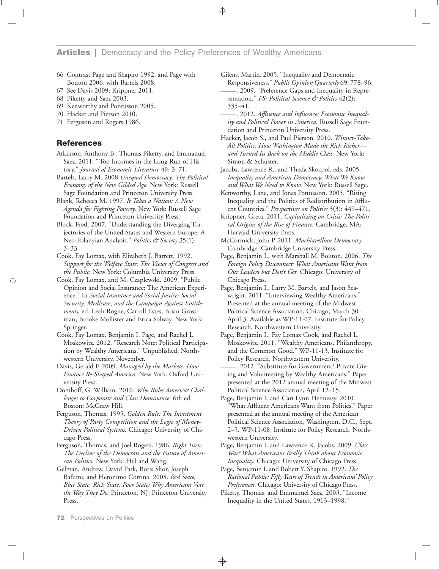- 66 Contrast Page and Shapiro 1992, and Page with Bouton 2006, with Bartels 2008.
- 67 See Davis 2009; Krippner 2011.
- 68 Piketty and Saez 2003.
- 69 Kenworthy and Pontusson 2005.
- 70 Hacker and Pierson 2010.
- 71 Ferguson and Rogers 1986.

# **References**

- Atkinson, Anthony B., Thomas Piketty, and Emmanuel Saez. 2011. "Top Incomes in the Long Run of History." *Journal of Economic Literature* 49: 3–71.
- Bartels, Larry M. 2008 *Unequal Democracy: The Political Economy of the New Gilded Age.* New York: Russell Sage Foundation and Princeton University Press.
- Blank, Rebecca M. 1997. *It Takes a Nation: A New Agenda for Fighting Poverty.* New York: Russell Sage Foundation and Princeton University Press.
- Block, Fred. 2007. "Understanding the Diverging Trajectories of the United States and Western Europe: A Neo-Polanyian Analysis." *Politics & Society* 35(1): 3–33.
- Cook, Fay Lomax, with Elizabeth J. Barrett. 1992. *Support for the Welfare State: The Views of Congress and the Public.* New York: Columbia University Press.
- Cook, Fay Lomax, and M. Czaplewski. 2009. "Public Opinion and Social Insurance: The American Experience." In *Social Insurance and Social Justice: Social Security, Medicare, and the Campaign Against Entitlements,* ed. Leah Rogne, Carroll Estes, Brian Grossman, Brooke Mollister and Erica Solway. New York: Springer.
- Cook, Fay Lomax, Benjamin I. Page, and Rachel L. Moskowitz. 2012. "Research Note: Political Participation by Wealthy Americans." Unpublished, Northwestern University. November.
- Davis, Gerald F. 2009. *Managed by the Markets: How Finance Re-Shaped America.* New York: Oxford University Press.
- Domhoff, G. William. 2010. *Who Rules America? Challenges to Corporate and Class Dominance.* 6th ed. Boston: McGraw Hill.
- Ferguson, Thomas. 1995. *Golden Rule: The Investment Theory of Party Competition and the Logic of Money-Driven Political Systems.* Chicago: University of Chicago Press.
- Ferguson, Thomas, and Joel Rogers. 1986. *Right Turn: The Decline of the Democrats and the Future of American Politics.* New York: Hill and Wang.
- Gelman, Andrew, David Park, Boris Shor, Joseph Bafumi, and Heronimo Cortina. 2008. *Red State, Blue State, Rich State, Poor State: Why Americans Vote the Way They Do.* Princeton, NJ: Princeton University Press.
- Gilens, Martin. 2005. "Inequality and Democratic Responsiveness." *Public Opinion Quarterly* 69: 778–96.<br>— 2009. "Preference Gaps and Inequality in Repre-
- sentation." *PS: Political Science & Politics* 42(2): 335–41. \_. 2012. *Affluence and Influence: Economic Inequal-*
- *ity and Political Power in America.* Russell Sage Foundation and Princeton University Press.
- Hacker, Jacob S., and Paul Pierson. 2010. *Winner-Take-All Politics: How Washington Made the Rich Richer and Turned Its Back on the Middle Class.* New York: Simon & Schuster.
- Jacobs, Lawrence R., and Theda Skocpol, eds. 2005. *Inequality and American Democracy: What We Know and What We Need to Know.* New York: Russell Sage.
- Kenworthy, Lane, and Jonas Pontusson. 2005. "Rising Inequality and the Politics of Redistribution in Affluent Countries." *Perspectives on Politics* 3(3): 449–471.
- Krippner, Greta. 2011. *Capitalizing on Crisis: The Political Origins of the Rise of Finance.* Cambridge, MA: Harvard University Press.
- McCormick, John P. 2011. *Machiavellian Democracy.* Cambridge: Cambridge University Press.
- Page, Benjamin I., with Marshall M. Bouton. 2006. *The Foreign Policy Disconnect: What Americans Want from Our Leaders but Don't Get.* Chicago: University of Chicago Press.
- Page, Benjamin I., Larry M. Bartels, and Jason Seawright. 2011. "Interviewing Wealthy Americans." Presented at the annual meeting of the Midwest Political Science Association, Chicago, March 30– April 3. Available as WP-11-07, Institute for Policy Research, Northwestern University.
- Page, Benjamin I., Fay Lomax Cook, and Rachel L. Moskowitz. 2011. "Wealthy Americans, Philanthropy, And the Common Good." WP-11-13, Institute for<br>
Policy Research, Northwestern University.<br>
2012. "Substitute for Government? Private Giv-<br>
ing and Volunteering by Wealthy Americans." Paper
- ing and Volunteering by Wealthy Americans." Paper presented at the 2012 annual meeting of the Midwest Political Science Association, April 12–15.
- Page, Benjamin I. and Cari Lynn Hennessy. 2010. "What Affluent Americans Want from Politics." Paper presented at the annual meeting of the American Political Science Association, Washington, D.C., Sept. 2–5. WP-11-08, Institute for Policy Research, Northwestern University.
- Page, Benjamin I. and Lawrence R. Jacobs. 2009. *Class War? What Americans Really Think about Economic Inequality.* Chicago: University of Chicago Press.
- Page, Benjamin I. and Robert Y. Shapiro. 1992. *The Rational Public: Fifty Years of Trends in Americans' Policy Preferences.* Chicago: University of Chicago Press.
- Piketty, Thomas, and Emmanuel Saez. 2003. "Income Inequality in the United States, 1913–1998."